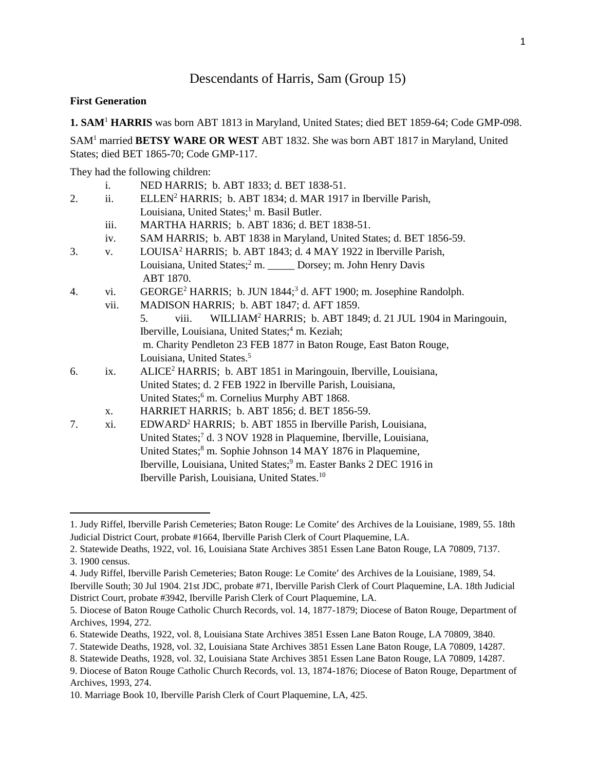# Descendants of Harris, Sam (Group 15)

#### **First Generation**

 $\overline{a}$ 

**1. SAM**<sup>1</sup> **HARRIS** was born ABT 1813 in Maryland, United States; died BET 1859-64; Code GMP-098.

SAM<sup>1</sup> married **BETSY WARE OR WEST** ABT 1832. She was born ABT 1817 in Maryland, United States; died BET 1865-70; Code GMP-117.

They had the following children:

|    | i.   | NED HARRIS; b. ABT 1833; d. BET 1838-51.                                                  |
|----|------|-------------------------------------------------------------------------------------------|
| 2. | ii.  | ELLEN <sup>2</sup> HARRIS; b. ABT 1834; d. MAR 1917 in Iberville Parish,                  |
|    |      | Louisiana, United States; <sup>1</sup> m. Basil Butler.                                   |
|    | iii. | MARTHA HARRIS; b. ABT 1836; d. BET 1838-51.                                               |
|    | iv.  | SAM HARRIS; b. ABT 1838 in Maryland, United States; d. BET 1856-59.                       |
| 3. | V.   | LOUISA <sup>2</sup> HARRIS; b. ABT 1843; d. 4 MAY 1922 in Iberville Parish,               |
|    |      | Louisiana, United States; <sup>2</sup> m. _____ Dorsey; m. John Henry Davis<br>ABT 1870.  |
| 4. | vi.  | GEORGE <sup>2</sup> HARRIS; b. JUN 1844; <sup>3</sup> d. AFT 1900; m. Josephine Randolph. |
|    | vii. | MADISON HARRIS; b. ABT 1847; d. AFT 1859.                                                 |
|    |      | WILLIAM <sup>2</sup> HARRIS; b. ABT 1849; d. 21 JUL 1904 in Maringouin,<br>viii.<br>5.    |
|    |      | Iberville, Louisiana, United States; <sup>4</sup> m. Keziah;                              |
|    |      | m. Charity Pendleton 23 FEB 1877 in Baton Rouge, East Baton Rouge,                        |
|    |      | Louisiana, United States. <sup>5</sup>                                                    |
| 6. | ix.  | ALICE <sup>2</sup> HARRIS; b. ABT 1851 in Maringouin, Iberville, Louisiana,               |
|    |      | United States; d. 2 FEB 1922 in Iberville Parish, Louisiana,                              |
|    |      | United States; <sup>6</sup> m. Cornelius Murphy ABT 1868.                                 |
|    | X.   | HARRIET HARRIS; b. ABT 1856; d. BET 1856-59.                                              |
| 7. | xi.  | EDWARD <sup>2</sup> HARRIS; b. ABT 1855 in Iberville Parish, Louisiana,                   |
|    |      | United States; <sup>7</sup> d. 3 NOV 1928 in Plaquemine, Iberville, Louisiana,            |
|    |      | United States; <sup>8</sup> m. Sophie Johnson 14 MAY 1876 in Plaquemine,                  |
|    |      | Iberville, Louisiana, United States; <sup>9</sup> m. Easter Banks 2 DEC 1916 in           |
|    |      | Iberville Parish, Louisiana, United States. <sup>10</sup>                                 |

<sup>1.</sup> Judy Riffel, Iberville Parish Cemeteries; Baton Rouge: Le Comite' des Archives de la Louisiane, 1989, 55. 18th Judicial District Court, probate #1664, Iberville Parish Clerk of Court Plaquemine, LA.

<sup>2.</sup> Statewide Deaths, 1922, vol. 16, Louisiana State Archives 3851 Essen Lane Baton Rouge, LA 70809, 7137. 3. 1900 census.

<sup>4.</sup> Judy Riffel, Iberville Parish Cemeteries; Baton Rouge: Le Comite' des Archives de la Louisiane, 1989, 54.

Iberville South; 30 Jul 1904. 21st JDC, probate #71, Iberville Parish Clerk of Court Plaquemine, LA. 18th Judicial District Court, probate #3942, Iberville Parish Clerk of Court Plaquemine, LA.

<sup>5.</sup> Diocese of Baton Rouge Catholic Church Records, vol. 14, 1877-1879; Diocese of Baton Rouge, Department of Archives, 1994, 272.

<sup>6.</sup> Statewide Deaths, 1922, vol. 8, Louisiana State Archives 3851 Essen Lane Baton Rouge, LA 70809, 3840.

<sup>7.</sup> Statewide Deaths, 1928, vol. 32, Louisiana State Archives 3851 Essen Lane Baton Rouge, LA 70809, 14287.

<sup>8.</sup> Statewide Deaths, 1928, vol. 32, Louisiana State Archives 3851 Essen Lane Baton Rouge, LA 70809, 14287.

<sup>9.</sup> Diocese of Baton Rouge Catholic Church Records, vol. 13, 1874-1876; Diocese of Baton Rouge, Department of Archives, 1993, 274.

<sup>10.</sup> Marriage Book 10, Iberville Parish Clerk of Court Plaquemine, LA, 425.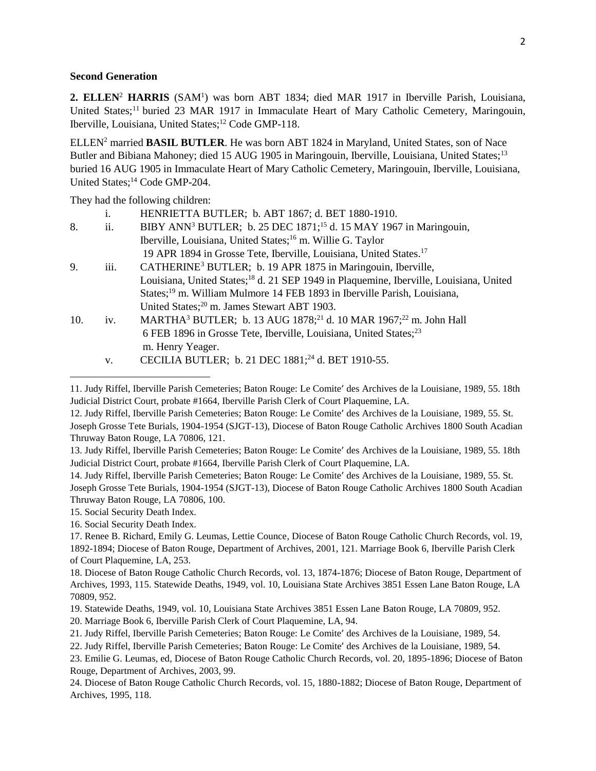#### **Second Generation**

2. ELLEN<sup>2</sup> HARRIS (SAM<sup>1</sup>) was born ABT 1834; died MAR 1917 in Iberville Parish, Louisiana, United States;<sup>11</sup> buried 23 MAR 1917 in Immaculate Heart of Mary Catholic Cemetery, Maringouin, Iberville, Louisiana, United States;<sup>12</sup> Code GMP-118.

ELLEN<sup>2</sup> married **BASIL BUTLER**. He was born ABT 1824 in Maryland, United States, son of Nace Butler and Bibiana Mahoney; died 15 AUG 1905 in Maringouin, Iberville, Louisiana, United States;<sup>13</sup> buried 16 AUG 1905 in Immaculate Heart of Mary Catholic Cemetery, Maringouin, Iberville, Louisiana, United States;<sup>14</sup> Code GMP-204.

They had the following children:

|     | i.   | HENRIETTA BUTLER; b. ABT 1867; d. BET 1880-1910.                                                     |
|-----|------|------------------------------------------------------------------------------------------------------|
| 8.  | ii.  | BIBY ANN <sup>3</sup> BUTLER; b. 25 DEC 1871; <sup>15</sup> d. 15 MAY 1967 in Maringouin,            |
|     |      | Iberville, Louisiana, United States; <sup>16</sup> m. Willie G. Taylor                               |
|     |      | 19 APR 1894 in Grosse Tete, Iberville, Louisiana, United States. <sup>17</sup>                       |
| 9.  | iii. | CATHERINE <sup>3</sup> BUTLER; b. 19 APR 1875 in Maringouin, Iberville,                              |
|     |      | Louisiana, United States; <sup>18</sup> d. 21 SEP 1949 in Plaquemine, Iberville, Louisiana, United   |
|     |      | States; <sup>19</sup> m. William Mulmore 14 FEB 1893 in Iberville Parish, Louisiana,                 |
|     |      | United States; <sup>20</sup> m. James Stewart ABT 1903.                                              |
| 10. | iv.  | MARTHA <sup>3</sup> BUTLER; b. 13 AUG 1878; <sup>21</sup> d. 10 MAR 1967; <sup>22</sup> m. John Hall |
|     |      | 6 FEB 1896 in Grosse Tete, Iberville, Louisiana, United States; <sup>23</sup>                        |
|     |      | m. Henry Yeager.                                                                                     |
|     | V.   | CECILIA BUTLER; b. 21 DEC 1881; <sup>24</sup> d. BET 1910-55.                                        |
|     |      |                                                                                                      |

<sup>11.</sup> Judy Riffel, Iberville Parish Cemeteries; Baton Rouge: Le Comite' des Archives de la Louisiane, 1989, 55. 18th Judicial District Court, probate #1664, Iberville Parish Clerk of Court Plaquemine, LA.

13. Judy Riffel, Iberville Parish Cemeteries; Baton Rouge: Le Comite' des Archives de la Louisiane, 1989, 55. 18th Judicial District Court, probate #1664, Iberville Parish Clerk of Court Plaquemine, LA.

14. Judy Riffel, Iberville Parish Cemeteries; Baton Rouge: Le Comite' des Archives de la Louisiane, 1989, 55. St.

15. Social Security Death Index.

 $\overline{\phantom{a}}$ 

16. Social Security Death Index.

<sup>12.</sup> Judy Riffel, Iberville Parish Cemeteries; Baton Rouge: Le Comite' des Archives de la Louisiane, 1989, 55. St. Joseph Grosse Tete Burials, 1904-1954 (SJGT-13), Diocese of Baton Rouge Catholic Archives 1800 South Acadian Thruway Baton Rouge, LA 70806, 121.

Joseph Grosse Tete Burials, 1904-1954 (SJGT-13), Diocese of Baton Rouge Catholic Archives 1800 South Acadian Thruway Baton Rouge, LA 70806, 100.

<sup>17.</sup> Renee B. Richard, Emily G. Leumas, Lettie Counce, Diocese of Baton Rouge Catholic Church Records, vol. 19, 1892-1894; Diocese of Baton Rouge, Department of Archives, 2001, 121. Marriage Book 6, Iberville Parish Clerk of Court Plaquemine, LA, 253.

<sup>18.</sup> Diocese of Baton Rouge Catholic Church Records, vol. 13, 1874-1876; Diocese of Baton Rouge, Department of Archives, 1993, 115. Statewide Deaths, 1949, vol. 10, Louisiana State Archives 3851 Essen Lane Baton Rouge, LA 70809, 952.

<sup>19.</sup> Statewide Deaths, 1949, vol. 10, Louisiana State Archives 3851 Essen Lane Baton Rouge, LA 70809, 952.

<sup>20.</sup> Marriage Book 6, Iberville Parish Clerk of Court Plaquemine, LA, 94.

<sup>21.</sup> Judy Riffel, Iberville Parish Cemeteries; Baton Rouge: Le Comite' des Archives de la Louisiane, 1989, 54.

<sup>22.</sup> Judy Riffel, Iberville Parish Cemeteries; Baton Rouge: Le Comite' des Archives de la Louisiane, 1989, 54.

<sup>23.</sup> Emilie G. Leumas, ed, Diocese of Baton Rouge Catholic Church Records, vol. 20, 1895-1896; Diocese of Baton Rouge, Department of Archives, 2003, 99.

<sup>24.</sup> Diocese of Baton Rouge Catholic Church Records, vol. 15, 1880-1882; Diocese of Baton Rouge, Department of Archives, 1995, 118.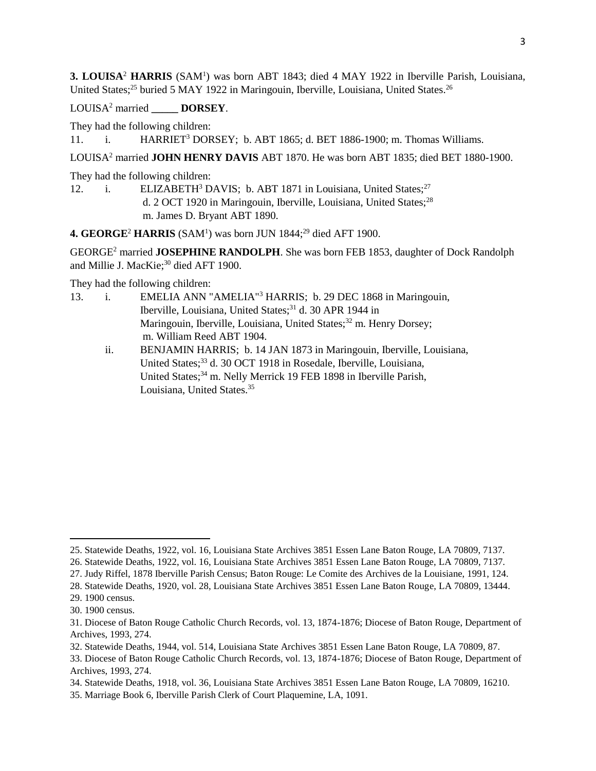**3. LOUISA**<sup>2</sup> **HARRIS** (SAM<sup>1</sup> ) was born ABT 1843; died 4 MAY 1922 in Iberville Parish, Louisiana, United States;<sup>25</sup> buried 5 MAY 1922 in Maringouin, Iberville, Louisiana, United States.<sup>26</sup>

LOUISA<sup>2</sup> married **DORSEY**.

They had the following children:

11. i. HARRIET<sup>3</sup> DORSEY; b. ABT 1865; d. BET 1886-1900; m. Thomas Williams.

LOUISA<sup>2</sup> married **JOHN HENRY DAVIS** ABT 1870. He was born ABT 1835; died BET 1880-1900.

They had the following children:

12. i. ELIZABETH<sup>3</sup> DAVIS; b. ABT 1871 in Louisiana, United States;<sup>27</sup> d. 2 OCT 1920 in Maringouin, Iberville, Louisiana, United States;<sup>28</sup> m. James D. Bryant ABT 1890.

4. GEORGE<sup>2</sup> HARRIS (SAM<sup>1</sup>) was born JUN 1844;<sup>29</sup> died AFT 1900.

GEORGE<sup>2</sup> married **JOSEPHINE RANDOLPH**. She was born FEB 1853, daughter of Dock Randolph and Millie J. MacKie;<sup>30</sup> died AFT 1900.

They had the following children:

- 13. i. EMELIA ANN "AMELIA"<sup>3</sup> HARRIS; b. 29 DEC 1868 in Maringouin, Iberville, Louisiana, United States;<sup>31</sup> d. 30 APR 1944 in Maringouin, Iberville, Louisiana, United States;<sup>32</sup> m. Henry Dorsey; m. William Reed ABT 1904.
	- ii. BENJAMIN HARRIS; b. 14 JAN 1873 in Maringouin, Iberville, Louisiana, United States;<sup>33</sup> d. 30 OCT 1918 in Rosedale, Iberville, Louisiana, United States;<sup>34</sup> m. Nelly Merrick 19 FEB 1898 in Iberville Parish, Louisiana, United States.<sup>35</sup>

<sup>25.</sup> Statewide Deaths, 1922, vol. 16, Louisiana State Archives 3851 Essen Lane Baton Rouge, LA 70809, 7137.

<sup>26.</sup> Statewide Deaths, 1922, vol. 16, Louisiana State Archives 3851 Essen Lane Baton Rouge, LA 70809, 7137.

<sup>27.</sup> Judy Riffel, 1878 Iberville Parish Census; Baton Rouge: Le Comite des Archives de la Louisiane, 1991, 124.

<sup>28.</sup> Statewide Deaths, 1920, vol. 28, Louisiana State Archives 3851 Essen Lane Baton Rouge, LA 70809, 13444.

<sup>29. 1900</sup> census.

<sup>30. 1900</sup> census.

<sup>31.</sup> Diocese of Baton Rouge Catholic Church Records, vol. 13, 1874-1876; Diocese of Baton Rouge, Department of Archives, 1993, 274.

<sup>32.</sup> Statewide Deaths, 1944, vol. 514, Louisiana State Archives 3851 Essen Lane Baton Rouge, LA 70809, 87.

<sup>33.</sup> Diocese of Baton Rouge Catholic Church Records, vol. 13, 1874-1876; Diocese of Baton Rouge, Department of Archives, 1993, 274.

<sup>34.</sup> Statewide Deaths, 1918, vol. 36, Louisiana State Archives 3851 Essen Lane Baton Rouge, LA 70809, 16210.

<sup>35.</sup> Marriage Book 6, Iberville Parish Clerk of Court Plaquemine, LA, 1091.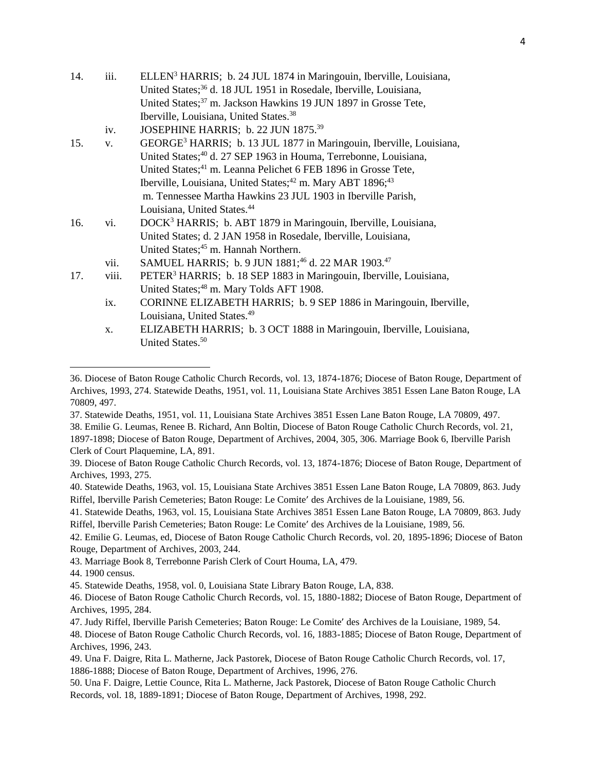| 14. | iii.        | ELLEN <sup>3</sup> HARRIS; b. 24 JUL 1874 in Maringouin, Iberville, Louisiana,     |
|-----|-------------|------------------------------------------------------------------------------------|
|     |             | United States; <sup>36</sup> d. 18 JUL 1951 in Rosedale, Iberville, Louisiana,     |
|     |             | United States; <sup>37</sup> m. Jackson Hawkins 19 JUN 1897 in Grosse Tete,        |
|     |             | Iberville, Louisiana, United States. <sup>38</sup>                                 |
|     | iv.         | JOSEPHINE HARRIS; b. 22 JUN 1875. <sup>39</sup>                                    |
| 15. | $V_{\star}$ | GEORGE <sup>3</sup> HARRIS; b. 13 JUL 1877 in Maringouin, Iberville, Louisiana,    |
|     |             | United States; <sup>40</sup> d. 27 SEP 1963 in Houma, Terrebonne, Louisiana,       |
|     |             | United States; <sup>41</sup> m. Leanna Pelichet 6 FEB 1896 in Grosse Tete,         |
|     |             | Iberville, Louisiana, United States; <sup>42</sup> m. Mary ABT 1896; <sup>43</sup> |
|     |             | m. Tennessee Martha Hawkins 23 JUL 1903 in Iberville Parish,                       |
|     |             | Louisiana, United States. <sup>44</sup>                                            |
| 16. | vi.         | DOCK <sup>3</sup> HARRIS; b. ABT 1879 in Maringouin, Iberville, Louisiana,         |
|     |             | United States; d. 2 JAN 1958 in Rosedale, Iberville, Louisiana,                    |
|     |             | United States; <sup>45</sup> m. Hannah Northern.                                   |
|     | vii.        | SAMUEL HARRIS; b. 9 JUN 1881; <sup>46</sup> d. 22 MAR 1903. <sup>47</sup>          |
| 17. | viii.       | PETER <sup>3</sup> HARRIS; b. 18 SEP 1883 in Maringouin, Iberville, Louisiana,     |
|     |             | United States; <sup>48</sup> m. Mary Tolds AFT 1908.                               |
|     | ix.         | CORINNE ELIZABETH HARRIS; b. 9 SEP 1886 in Maringouin, Iberville,                  |
|     |             | Louisiana, United States. <sup>49</sup>                                            |
|     | X.          | ELIZABETH HARRIS; b. 3 OCT 1888 in Maringouin, Iberville, Louisiana,               |

37. Statewide Deaths, 1951, vol. 11, Louisiana State Archives 3851 Essen Lane Baton Rouge, LA 70809, 497.

41. Statewide Deaths, 1963, vol. 15, Louisiana State Archives 3851 Essen Lane Baton Rouge, LA 70809, 863. Judy Riffel, Iberville Parish Cemeteries; Baton Rouge: Le Comite' des Archives de la Louisiane, 1989, 56.

42. Emilie G. Leumas, ed, Diocese of Baton Rouge Catholic Church Records, vol. 20, 1895-1896; Diocese of Baton Rouge, Department of Archives, 2003, 244.

United States.<sup>50</sup>

<sup>36.</sup> Diocese of Baton Rouge Catholic Church Records, vol. 13, 1874-1876; Diocese of Baton Rouge, Department of Archives, 1993, 274. Statewide Deaths, 1951, vol. 11, Louisiana State Archives 3851 Essen Lane Baton Rouge, LA 70809, 497.

<sup>38.</sup> Emilie G. Leumas, Renee B. Richard, Ann Boltin, Diocese of Baton Rouge Catholic Church Records, vol. 21, 1897-1898; Diocese of Baton Rouge, Department of Archives, 2004, 305, 306. Marriage Book 6, Iberville Parish Clerk of Court Plaquemine, LA, 891.

<sup>39.</sup> Diocese of Baton Rouge Catholic Church Records, vol. 13, 1874-1876; Diocese of Baton Rouge, Department of Archives, 1993, 275.

<sup>40.</sup> Statewide Deaths, 1963, vol. 15, Louisiana State Archives 3851 Essen Lane Baton Rouge, LA 70809, 863. Judy Riffel, Iberville Parish Cemeteries; Baton Rouge: Le Comite' des Archives de la Louisiane, 1989, 56.

<sup>43.</sup> Marriage Book 8, Terrebonne Parish Clerk of Court Houma, LA, 479.

<sup>44. 1900</sup> census.

<sup>45.</sup> Statewide Deaths, 1958, vol. 0, Louisiana State Library Baton Rouge, LA, 838.

<sup>46.</sup> Diocese of Baton Rouge Catholic Church Records, vol. 15, 1880-1882; Diocese of Baton Rouge, Department of Archives, 1995, 284.

<sup>47.</sup> Judy Riffel, Iberville Parish Cemeteries; Baton Rouge: Le Comite' des Archives de la Louisiane, 1989, 54.

<sup>48.</sup> Diocese of Baton Rouge Catholic Church Records, vol. 16, 1883-1885; Diocese of Baton Rouge, Department of Archives, 1996, 243.

<sup>49.</sup> Una F. Daigre, Rita L. Matherne, Jack Pastorek, Diocese of Baton Rouge Catholic Church Records, vol. 17, 1886-1888; Diocese of Baton Rouge, Department of Archives, 1996, 276.

<sup>50.</sup> Una F. Daigre, Lettie Counce, Rita L. Matherne, Jack Pastorek, Diocese of Baton Rouge Catholic Church Records, vol. 18, 1889-1891; Diocese of Baton Rouge, Department of Archives, 1998, 292.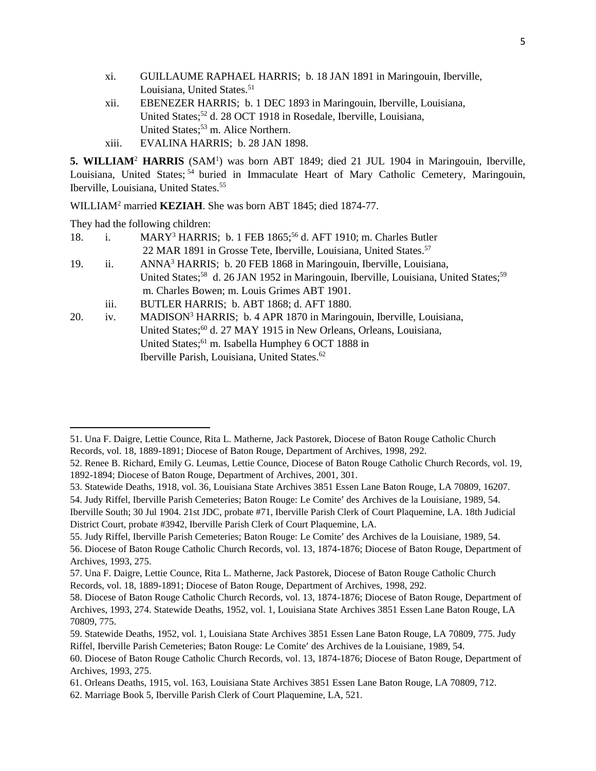- xi. GUILLAUME RAPHAEL HARRIS; b. 18 JAN 1891 in Maringouin, Iberville, Louisiana, United States.<sup>51</sup>
- xii. EBENEZER HARRIS; b. 1 DEC 1893 in Maringouin, Iberville, Louisiana, United States;<sup>52</sup> d. 28 OCT 1918 in Rosedale, Iberville, Louisiana, United States;<sup>53</sup> m. Alice Northern.
- xiii. EVALINA HARRIS; b. 28 JAN 1898.

5. WILLIAM<sup>2</sup> HARRIS (SAM<sup>1</sup>) was born ABT 1849; died 21 JUL 1904 in Maringouin, Iberville, Louisiana, United States;<sup>54</sup> buried in Immaculate Heart of Mary Catholic Cemetery, Maringouin, Iberville, Louisiana, United States.<sup>55</sup>

WILLIAM<sup>2</sup> married **KEZIAH**. She was born ABT 1845; died 1874-77.

They had the following children:

 $\overline{\phantom{a}}$ 

- 18. i. MARY<sup>3</sup> HARRIS; b. 1 FEB 1865;<sup>56</sup> d. AFT 1910; m. Charles Butler 22 MAR 1891 in Grosse Tete, Iberville, Louisiana, United States.<sup>57</sup> 19. ii. ANNA<sup>3</sup> HARRIS; b. 20 FEB 1868 in Maringouin, Iberville, Louisiana, United States;<sup>58</sup> d. 26 JAN 1952 in Maringouin, Iberville, Louisiana, United States;<sup>59</sup> m. Charles Bowen; m. Louis Grimes ABT 1901. iii. BUTLER HARRIS; b. ABT 1868; d. AFT 1880.
- 20. iv. MADISON<sup>3</sup> HARRIS; b. 4 APR 1870 in Maringouin, Iberville, Louisiana, United States;<sup>60</sup> d. 27 MAY 1915 in New Orleans, Orleans, Louisiana, United States;<sup>61</sup> m. Isabella Humphey 6 OCT 1888 in Iberville Parish, Louisiana, United States.<sup>62</sup>

53. Statewide Deaths, 1918, vol. 36, Louisiana State Archives 3851 Essen Lane Baton Rouge, LA 70809, 16207.

54. Judy Riffel, Iberville Parish Cemeteries; Baton Rouge: Le Comite' des Archives de la Louisiane, 1989, 54. Iberville South; 30 Jul 1904. 21st JDC, probate #71, Iberville Parish Clerk of Court Plaquemine, LA. 18th Judicial District Court, probate #3942, Iberville Parish Clerk of Court Plaquemine, LA.

<sup>51.</sup> Una F. Daigre, Lettie Counce, Rita L. Matherne, Jack Pastorek, Diocese of Baton Rouge Catholic Church Records, vol. 18, 1889-1891; Diocese of Baton Rouge, Department of Archives, 1998, 292.

<sup>52.</sup> Renee B. Richard, Emily G. Leumas, Lettie Counce, Diocese of Baton Rouge Catholic Church Records, vol. 19, 1892-1894; Diocese of Baton Rouge, Department of Archives, 2001, 301.

<sup>55.</sup> Judy Riffel, Iberville Parish Cemeteries; Baton Rouge: Le Comite' des Archives de la Louisiane, 1989, 54. 56. Diocese of Baton Rouge Catholic Church Records, vol. 13, 1874-1876; Diocese of Baton Rouge, Department of Archives, 1993, 275.

<sup>57.</sup> Una F. Daigre, Lettie Counce, Rita L. Matherne, Jack Pastorek, Diocese of Baton Rouge Catholic Church Records, vol. 18, 1889-1891; Diocese of Baton Rouge, Department of Archives, 1998, 292.

<sup>58.</sup> Diocese of Baton Rouge Catholic Church Records, vol. 13, 1874-1876; Diocese of Baton Rouge, Department of Archives, 1993, 274. Statewide Deaths, 1952, vol. 1, Louisiana State Archives 3851 Essen Lane Baton Rouge, LA 70809, 775.

<sup>59.</sup> Statewide Deaths, 1952, vol. 1, Louisiana State Archives 3851 Essen Lane Baton Rouge, LA 70809, 775. Judy Riffel, Iberville Parish Cemeteries; Baton Rouge: Le Comite' des Archives de la Louisiane, 1989, 54.

<sup>60.</sup> Diocese of Baton Rouge Catholic Church Records, vol. 13, 1874-1876; Diocese of Baton Rouge, Department of Archives, 1993, 275.

<sup>61.</sup> Orleans Deaths, 1915, vol. 163, Louisiana State Archives 3851 Essen Lane Baton Rouge, LA 70809, 712.

<sup>62.</sup> Marriage Book 5, Iberville Parish Clerk of Court Plaquemine, LA, 521.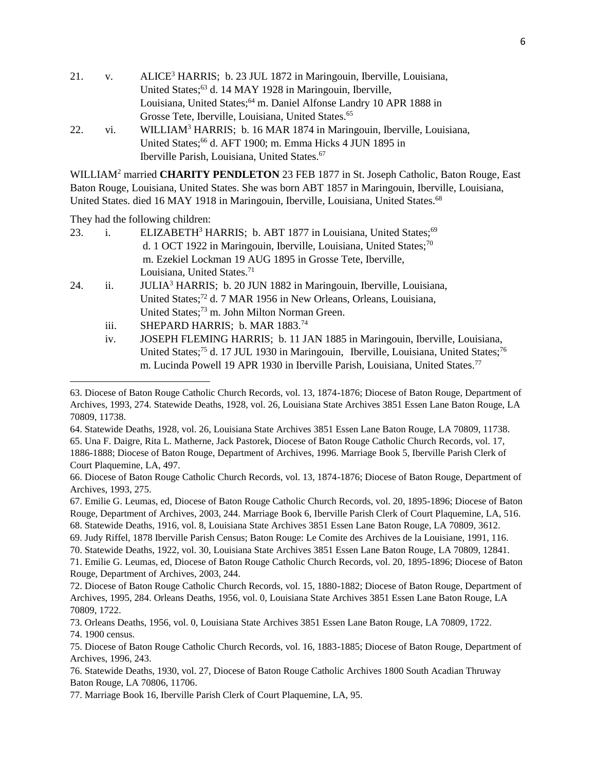- 21. v. ALICE<sup>3</sup> HARRIS; b. 23 JUL 1872 in Maringouin, Iberville, Louisiana, United States;<sup>63</sup> d. 14 MAY 1928 in Maringouin, Iberville, Louisiana, United States;<sup>64</sup> m. Daniel Alfonse Landry 10 APR 1888 in Grosse Tete, Iberville, Louisiana, United States.<sup>65</sup>
- 22. vi. WILLIAM<sup>3</sup> HARRIS; b. 16 MAR 1874 in Maringouin, Iberville, Louisiana, United States;<sup>66</sup> d. AFT 1900; m. Emma Hicks 4 JUN 1895 in Iberville Parish, Louisiana, United States.<sup>67</sup>

WILLIAM<sup>2</sup> married **CHARITY PENDLETON** 23 FEB 1877 in St. Joseph Catholic, Baton Rouge, East Baton Rouge, Louisiana, United States. She was born ABT 1857 in Maringouin, Iberville, Louisiana, United States. died 16 MAY 1918 in Maringouin, Iberville, Louisiana, United States.<sup>68</sup>

They had the following children:

- 23. i. ELIZABETH<sup>3</sup> HARRIS; b. ABT 1877 in Louisiana, United States:<sup>69</sup> d. 1 OCT 1922 in Maringouin, Iberville, Louisiana, United States;<sup>70</sup> m. Ezekiel Lockman 19 AUG 1895 in Grosse Tete, Iberville, Louisiana, United States.<sup>71</sup>
- 24. ii. JULIA<sup>3</sup> HARRIS; b. 20 JUN 1882 in Maringouin, Iberville, Louisiana, United States;<sup>72</sup> d. 7 MAR 1956 in New Orleans, Orleans, Louisiana, United States;<sup>73</sup> m. John Milton Norman Green.
	- iii. SHEPARD HARRIS; b. MAR 1883.<sup>74</sup>
	- iv. JOSEPH FLEMING HARRIS; b. 11 JAN 1885 in Maringouin, Iberville, Louisiana, United States;<sup>75</sup> d. 17 JUL 1930 in Maringouin, Iberville, Louisiana, United States;<sup>76</sup> m. Lucinda Powell 19 APR 1930 in Iberville Parish, Louisiana, United States.<sup>77</sup>

64. Statewide Deaths, 1928, vol. 26, Louisiana State Archives 3851 Essen Lane Baton Rouge, LA 70809, 11738.

65. Una F. Daigre, Rita L. Matherne, Jack Pastorek, Diocese of Baton Rouge Catholic Church Records, vol. 17, 1886-1888; Diocese of Baton Rouge, Department of Archives, 1996. Marriage Book 5, Iberville Parish Clerk of Court Plaquemine, LA, 497.

66. Diocese of Baton Rouge Catholic Church Records, vol. 13, 1874-1876; Diocese of Baton Rouge, Department of Archives, 1993, 275.

- 67. Emilie G. Leumas, ed, Diocese of Baton Rouge Catholic Church Records, vol. 20, 1895-1896; Diocese of Baton Rouge, Department of Archives, 2003, 244. Marriage Book 6, Iberville Parish Clerk of Court Plaquemine, LA, 516. 68. Statewide Deaths, 1916, vol. 8, Louisiana State Archives 3851 Essen Lane Baton Rouge, LA 70809, 3612.
- 69. Judy Riffel, 1878 Iberville Parish Census; Baton Rouge: Le Comite des Archives de la Louisiane, 1991, 116.

70. Statewide Deaths, 1922, vol. 30, Louisiana State Archives 3851 Essen Lane Baton Rouge, LA 70809, 12841.

71. Emilie G. Leumas, ed, Diocese of Baton Rouge Catholic Church Records, vol. 20, 1895-1896; Diocese of Baton Rouge, Department of Archives, 2003, 244.

 $\overline{a}$ 

<sup>63.</sup> Diocese of Baton Rouge Catholic Church Records, vol. 13, 1874-1876; Diocese of Baton Rouge, Department of Archives, 1993, 274. Statewide Deaths, 1928, vol. 26, Louisiana State Archives 3851 Essen Lane Baton Rouge, LA 70809, 11738.

<sup>72.</sup> Diocese of Baton Rouge Catholic Church Records, vol. 15, 1880-1882; Diocese of Baton Rouge, Department of Archives, 1995, 284. Orleans Deaths, 1956, vol. 0, Louisiana State Archives 3851 Essen Lane Baton Rouge, LA 70809, 1722.

<sup>73.</sup> Orleans Deaths, 1956, vol. 0, Louisiana State Archives 3851 Essen Lane Baton Rouge, LA 70809, 1722.

<sup>74. 1900</sup> census.

<sup>75.</sup> Diocese of Baton Rouge Catholic Church Records, vol. 16, 1883-1885; Diocese of Baton Rouge, Department of Archives, 1996, 243.

<sup>76.</sup> Statewide Deaths, 1930, vol. 27, Diocese of Baton Rouge Catholic Archives 1800 South Acadian Thruway Baton Rouge, LA 70806, 11706.

<sup>77.</sup> Marriage Book 16, Iberville Parish Clerk of Court Plaquemine, LA, 95.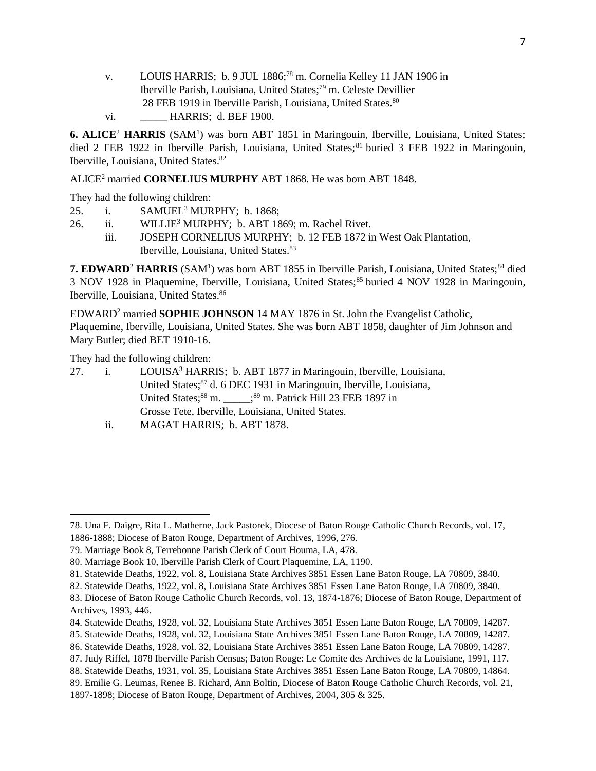- v. LOUIS HARRIS; b. 9 JUL 1886;<sup>78</sup> m. Cornelia Kelley 11 JAN 1906 in Iberville Parish, Louisiana, United States;<sup>79</sup> m. Celeste Devillier 28 FEB 1919 in Iberville Parish, Louisiana, United States.<sup>80</sup>
- vi. **HARRIS**; d. BEF 1900.

**6. ALICE<sup>2</sup> HARRIS** (SAM<sup>1</sup>) was born ABT 1851 in Maringouin, Iberville, Louisiana, United States; died 2 FEB 1922 in Iberville Parish, Louisiana, United States;<sup>81</sup> buried 3 FEB 1922 in Maringouin, Iberville, Louisiana, United States.<sup>82</sup>

ALICE<sup>2</sup> married **CORNELIUS MURPHY** ABT 1868. He was born ABT 1848.

They had the following children:

- 25. i. SAMUEL<sup>3</sup> MURPHY; b. 1868;
- 26. ii. WILLIE<sup>3</sup> MURPHY; b. ABT 1869; m. Rachel Rivet.
	- iii. JOSEPH CORNELIUS MURPHY; b. 12 FEB 1872 in West Oak Plantation, Iberville, Louisiana, United States.<sup>83</sup>

7. EDWARD<sup>2</sup> HARRIS (SAM<sup>1</sup>) was born ABT 1855 in Iberville Parish, Louisiana, United States;<sup>84</sup> died 3 NOV 1928 in Plaquemine, Iberville, Louisiana, United States;<sup>85</sup> buried 4 NOV 1928 in Maringouin, Iberville, Louisiana, United States.<sup>86</sup>

EDWARD<sup>2</sup> married **SOPHIE JOHNSON** 14 MAY 1876 in St. John the Evangelist Catholic, Plaquemine, Iberville, Louisiana, United States. She was born ABT 1858, daughter of Jim Johnson and Mary Butler; died BET 1910-16.

They had the following children:

 $\overline{a}$ 

27. i. LOUISA<sup>3</sup> HARRIS; b. ABT 1877 in Maringouin, Iberville, Louisiana, United States;<sup>87</sup> d. 6 DEC 1931 in Maringouin, Iberville, Louisiana, United States; ${}^{88}$  m.  ${}^{89}$  m. Patrick Hill 23 FEB 1897 in Grosse Tete, Iberville, Louisiana, United States.

ii. MAGAT HARRIS; b. ABT 1878.

<sup>78.</sup> Una F. Daigre, Rita L. Matherne, Jack Pastorek, Diocese of Baton Rouge Catholic Church Records, vol. 17, 1886-1888; Diocese of Baton Rouge, Department of Archives, 1996, 276.

<sup>79.</sup> Marriage Book 8, Terrebonne Parish Clerk of Court Houma, LA, 478.

<sup>80.</sup> Marriage Book 10, Iberville Parish Clerk of Court Plaquemine, LA, 1190.

<sup>81.</sup> Statewide Deaths, 1922, vol. 8, Louisiana State Archives 3851 Essen Lane Baton Rouge, LA 70809, 3840.

<sup>82.</sup> Statewide Deaths, 1922, vol. 8, Louisiana State Archives 3851 Essen Lane Baton Rouge, LA 70809, 3840.

<sup>83.</sup> Diocese of Baton Rouge Catholic Church Records, vol. 13, 1874-1876; Diocese of Baton Rouge, Department of Archives, 1993, 446.

<sup>84.</sup> Statewide Deaths, 1928, vol. 32, Louisiana State Archives 3851 Essen Lane Baton Rouge, LA 70809, 14287.

<sup>85.</sup> Statewide Deaths, 1928, vol. 32, Louisiana State Archives 3851 Essen Lane Baton Rouge, LA 70809, 14287.

<sup>86.</sup> Statewide Deaths, 1928, vol. 32, Louisiana State Archives 3851 Essen Lane Baton Rouge, LA 70809, 14287.

<sup>87.</sup> Judy Riffel, 1878 Iberville Parish Census; Baton Rouge: Le Comite des Archives de la Louisiane, 1991, 117.

<sup>88.</sup> Statewide Deaths, 1931, vol. 35, Louisiana State Archives 3851 Essen Lane Baton Rouge, LA 70809, 14864.

<sup>89.</sup> Emilie G. Leumas, Renee B. Richard, Ann Boltin, Diocese of Baton Rouge Catholic Church Records, vol. 21,

<sup>1897-1898;</sup> Diocese of Baton Rouge, Department of Archives, 2004, 305 & 325.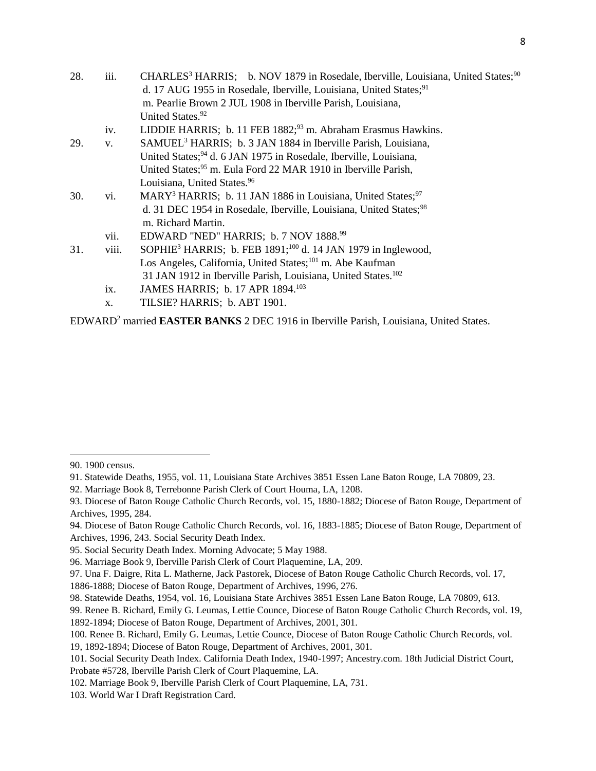| 28. | iii.  | CHARLES <sup>3</sup> HARRIS; b. NOV 1879 in Rosedale, Iberville, Louisiana, United States; <sup>90</sup> |
|-----|-------|----------------------------------------------------------------------------------------------------------|
|     |       | d. 17 AUG 1955 in Rosedale, Iberville, Louisiana, United States; <sup>91</sup>                           |
|     |       | m. Pearlie Brown 2 JUL 1908 in Iberville Parish, Louisiana,                                              |
|     |       | United States. <sup>92</sup>                                                                             |
|     | iv.   | LIDDIE HARRIS; b. 11 FEB 1882; <sup>93</sup> m. Abraham Erasmus Hawkins.                                 |
| 29. | V.    | SAMUEL <sup>3</sup> HARRIS; b. 3 JAN 1884 in Iberville Parish, Louisiana,                                |
|     |       | United States; <sup>94</sup> d. 6 JAN 1975 in Rosedale, Iberville, Louisiana,                            |
|     |       | United States; <sup>95</sup> m. Eula Ford 22 MAR 1910 in Iberville Parish,                               |
|     |       | Louisiana, United States. <sup>96</sup>                                                                  |
| 30. | vi.   | MARY <sup>3</sup> HARRIS; b. 11 JAN 1886 in Louisiana, United States; <sup>97</sup>                      |
|     |       | d. 31 DEC 1954 in Rosedale, Iberville, Louisiana, United States; <sup>98</sup>                           |
|     |       | m. Richard Martin.                                                                                       |
|     | vii.  | EDWARD "NED" HARRIS; b. 7 NOV 1888.99                                                                    |
| 31. | viii. | SOPHIE <sup>3</sup> HARRIS; b. FEB $1891;^{100}$ d. 14 JAN 1979 in Inglewood,                            |
|     |       | Los Angeles, California, United States; <sup>101</sup> m. Abe Kaufman                                    |
|     |       | 31 JAN 1912 in Iberville Parish, Louisiana, United States. <sup>102</sup>                                |
|     | ix.   | JAMES HARRIS; b. 17 APR 1894. <sup>103</sup>                                                             |
|     | х.    | TILSIE? HARRIS; b. ABT 1901.                                                                             |

EDWARD<sup>2</sup> married **EASTER BANKS** 2 DEC 1916 in Iberville Parish, Louisiana, United States.

 $\overline{\phantom{a}}$ 

1886-1888; Diocese of Baton Rouge, Department of Archives, 1996, 276.

<sup>90. 1900</sup> census.

<sup>91.</sup> Statewide Deaths, 1955, vol. 11, Louisiana State Archives 3851 Essen Lane Baton Rouge, LA 70809, 23.

<sup>92.</sup> Marriage Book 8, Terrebonne Parish Clerk of Court Houma, LA, 1208.

<sup>93.</sup> Diocese of Baton Rouge Catholic Church Records, vol. 15, 1880-1882; Diocese of Baton Rouge, Department of Archives, 1995, 284.

<sup>94.</sup> Diocese of Baton Rouge Catholic Church Records, vol. 16, 1883-1885; Diocese of Baton Rouge, Department of Archives, 1996, 243. Social Security Death Index.

<sup>95.</sup> Social Security Death Index. Morning Advocate; 5 May 1988.

<sup>96.</sup> Marriage Book 9, Iberville Parish Clerk of Court Plaquemine, LA, 209.

<sup>97.</sup> Una F. Daigre, Rita L. Matherne, Jack Pastorek, Diocese of Baton Rouge Catholic Church Records, vol. 17,

<sup>98.</sup> Statewide Deaths, 1954, vol. 16, Louisiana State Archives 3851 Essen Lane Baton Rouge, LA 70809, 613.

<sup>99.</sup> Renee B. Richard, Emily G. Leumas, Lettie Counce, Diocese of Baton Rouge Catholic Church Records, vol. 19, 1892-1894; Diocese of Baton Rouge, Department of Archives, 2001, 301.

<sup>100.</sup> Renee B. Richard, Emily G. Leumas, Lettie Counce, Diocese of Baton Rouge Catholic Church Records, vol.

<sup>19, 1892-1894;</sup> Diocese of Baton Rouge, Department of Archives, 2001, 301.

<sup>101.</sup> Social Security Death Index. California Death Index, 1940-1997; Ancestry.com. 18th Judicial District Court, Probate #5728, Iberville Parish Clerk of Court Plaquemine, LA.

<sup>102.</sup> Marriage Book 9, Iberville Parish Clerk of Court Plaquemine, LA, 731.

<sup>103.</sup> World War I Draft Registration Card.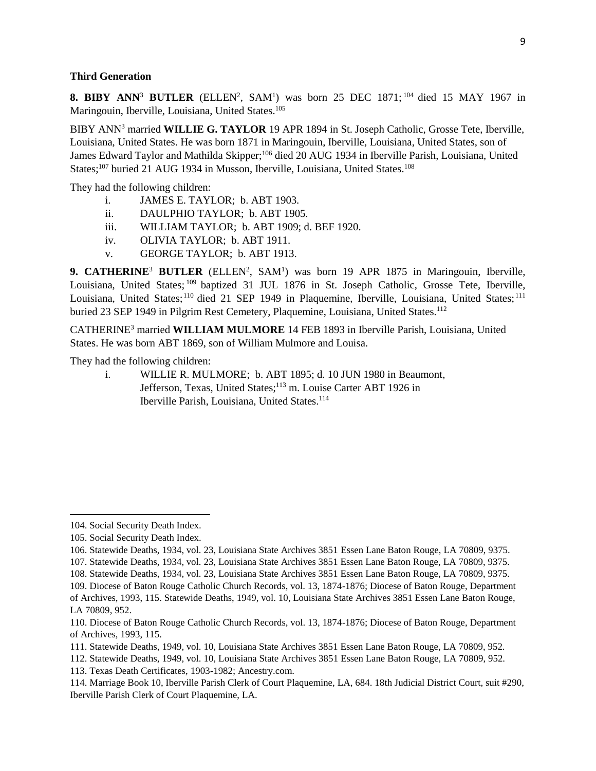#### **Third Generation**

**8. BIBY ANN<sup>3</sup> BUTLER** (ELLEN<sup>2</sup>, SAM<sup>1</sup>) was born 25 DEC 1871;<sup>104</sup> died 15 MAY 1967 in Maringouin, Iberville, Louisiana, United States.<sup>105</sup>

BIBY ANN<sup>3</sup> married **WILLIE G. TAYLOR** 19 APR 1894 in St. Joseph Catholic, Grosse Tete, Iberville, Louisiana, United States. He was born 1871 in Maringouin, Iberville, Louisiana, United States, son of James Edward Taylor and Mathilda Skipper;<sup>106</sup> died 20 AUG 1934 in Iberville Parish, Louisiana, United States;<sup>107</sup> buried 21 AUG 1934 in Musson, Iberville, Louisiana, United States.<sup>108</sup>

They had the following children:

- i. JAMES E. TAYLOR; b. ABT 1903.
- ii. DAULPHIO TAYLOR; b. ABT 1905.
- iii. WILLIAM TAYLOR; b. ABT 1909; d. BEF 1920.
- iv. OLIVIA TAYLOR; b. ABT 1911.
- v. GEORGE TAYLOR; b. ABT 1913.

9. CATHERINE<sup>3</sup> BUTLER (ELLEN<sup>2</sup>, SAM<sup>1</sup>) was born 19 APR 1875 in Maringouin, Iberville, Louisiana, United States; <sup>109</sup> baptized 31 JUL 1876 in St. Joseph Catholic, Grosse Tete, Iberville, Louisiana, United States;<sup>110</sup> died 21 SEP 1949 in Plaquemine, Iberville, Louisiana, United States;<sup>111</sup> buried 23 SEP 1949 in Pilgrim Rest Cemetery, Plaquemine, Louisiana, United States.<sup>112</sup>

CATHERINE<sup>3</sup> married **WILLIAM MULMORE** 14 FEB 1893 in Iberville Parish, Louisiana, United States. He was born ABT 1869, son of William Mulmore and Louisa.

They had the following children:

i. WILLIE R. MULMORE; b. ABT 1895; d. 10 JUN 1980 in Beaumont, Jefferson, Texas, United States;<sup>113</sup> m. Louise Carter ABT 1926 in Iberville Parish, Louisiana, United States.<sup>114</sup>

 $\overline{a}$ 

<sup>104.</sup> Social Security Death Index.

<sup>105.</sup> Social Security Death Index.

<sup>106.</sup> Statewide Deaths, 1934, vol. 23, Louisiana State Archives 3851 Essen Lane Baton Rouge, LA 70809, 9375.

<sup>107.</sup> Statewide Deaths, 1934, vol. 23, Louisiana State Archives 3851 Essen Lane Baton Rouge, LA 70809, 9375.

<sup>108.</sup> Statewide Deaths, 1934, vol. 23, Louisiana State Archives 3851 Essen Lane Baton Rouge, LA 70809, 9375.

<sup>109.</sup> Diocese of Baton Rouge Catholic Church Records, vol. 13, 1874-1876; Diocese of Baton Rouge, Department of Archives, 1993, 115. Statewide Deaths, 1949, vol. 10, Louisiana State Archives 3851 Essen Lane Baton Rouge, LA 70809, 952.

<sup>110.</sup> Diocese of Baton Rouge Catholic Church Records, vol. 13, 1874-1876; Diocese of Baton Rouge, Department of Archives, 1993, 115.

<sup>111.</sup> Statewide Deaths, 1949, vol. 10, Louisiana State Archives 3851 Essen Lane Baton Rouge, LA 70809, 952.

<sup>112.</sup> Statewide Deaths, 1949, vol. 10, Louisiana State Archives 3851 Essen Lane Baton Rouge, LA 70809, 952.

<sup>113.</sup> Texas Death Certificates, 1903-1982; Ancestry.com.

<sup>114.</sup> Marriage Book 10, Iberville Parish Clerk of Court Plaquemine, LA, 684. 18th Judicial District Court, suit #290, Iberville Parish Clerk of Court Plaquemine, LA.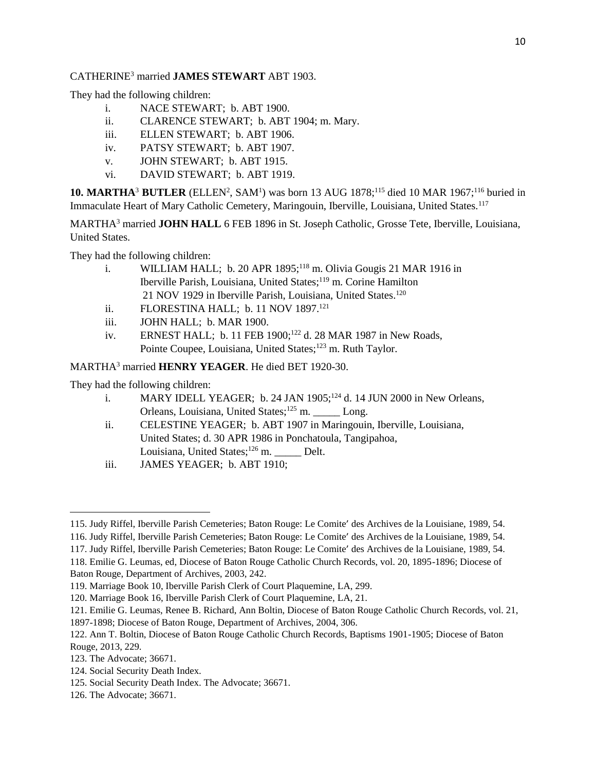## CATHERINE<sup>3</sup> married **JAMES STEWART** ABT 1903.

They had the following children:

- i. NACE STEWART; b. ABT 1900.
- ii. CLARENCE STEWART; b. ABT 1904; m. Mary.
- iii. ELLEN STEWART; b. ABT 1906.
- iv. PATSY STEWART; b. ABT 1907.
- v. JOHN STEWART; b. ABT 1915.
- vi. DAVID STEWART; b. ABT 1919.

**10. MARTHA<sup>3</sup> BUTLER** (ELLEN<sup>2</sup>, SAM<sup>1</sup>) was born 13 AUG 1878;<sup>115</sup> died 10 MAR 1967;<sup>116</sup> buried in Immaculate Heart of Mary Catholic Cemetery, Maringouin, Iberville, Louisiana, United States.<sup>117</sup>

MARTHA<sup>3</sup> married **JOHN HALL** 6 FEB 1896 in St. Joseph Catholic, Grosse Tete, Iberville, Louisiana, United States.

They had the following children:

- i. WILLIAM HALL; b. 20 APR  $1895$ ;<sup>118</sup> m. Olivia Gougis 21 MAR 1916 in Iberville Parish, Louisiana, United States;<sup>119</sup> m. Corine Hamilton 21 NOV 1929 in Iberville Parish, Louisiana, United States.<sup>120</sup>
- ii. FLORESTINA HALL; b. 11 NOV 1897.<sup>121</sup>
- iii. JOHN HALL; b. MAR 1900.
- iv. ERNEST HALL; b. 11 FEB 1900;<sup>122</sup> d. 28 MAR 1987 in New Roads, Pointe Coupee, Louisiana, United States;<sup>123</sup> m. Ruth Taylor.

# MARTHA<sup>3</sup> married **HENRY YEAGER**. He died BET 1920-30.

They had the following children:

- i. MARY IDELL YEAGER; b. 24 JAN  $1905$ ;<sup>124</sup> d. 14 JUN 2000 in New Orleans, Orleans, Louisiana, United States;<sup>125</sup> m. \_\_\_\_\_ Long.
- ii. CELESTINE YEAGER; b. ABT 1907 in Maringouin, Iberville, Louisiana, United States; d. 30 APR 1986 in Ponchatoula, Tangipahoa, Louisiana, United States;<sup>126</sup> m. Delt.
- iii. JAMES YEAGER; b. ABT 1910;

 $\overline{a}$ 

<sup>115.</sup> Judy Riffel, Iberville Parish Cemeteries; Baton Rouge: Le Comite' des Archives de la Louisiane, 1989, 54.

<sup>116.</sup> Judy Riffel, Iberville Parish Cemeteries; Baton Rouge: Le Comite' des Archives de la Louisiane, 1989, 54.

<sup>117.</sup> Judy Riffel, Iberville Parish Cemeteries; Baton Rouge: Le Comite' des Archives de la Louisiane, 1989, 54.

<sup>118.</sup> Emilie G. Leumas, ed, Diocese of Baton Rouge Catholic Church Records, vol. 20, 1895-1896; Diocese of Baton Rouge, Department of Archives, 2003, 242.

<sup>119.</sup> Marriage Book 10, Iberville Parish Clerk of Court Plaquemine, LA, 299.

<sup>120.</sup> Marriage Book 16, Iberville Parish Clerk of Court Plaquemine, LA, 21.

<sup>121.</sup> Emilie G. Leumas, Renee B. Richard, Ann Boltin, Diocese of Baton Rouge Catholic Church Records, vol. 21, 1897-1898; Diocese of Baton Rouge, Department of Archives, 2004, 306.

<sup>122.</sup> Ann T. Boltin, Diocese of Baton Rouge Catholic Church Records, Baptisms 1901-1905; Diocese of Baton Rouge, 2013, 229.

<sup>123.</sup> The Advocate; 36671.

<sup>124.</sup> Social Security Death Index.

<sup>125.</sup> Social Security Death Index. The Advocate; 36671.

<sup>126.</sup> The Advocate; 36671.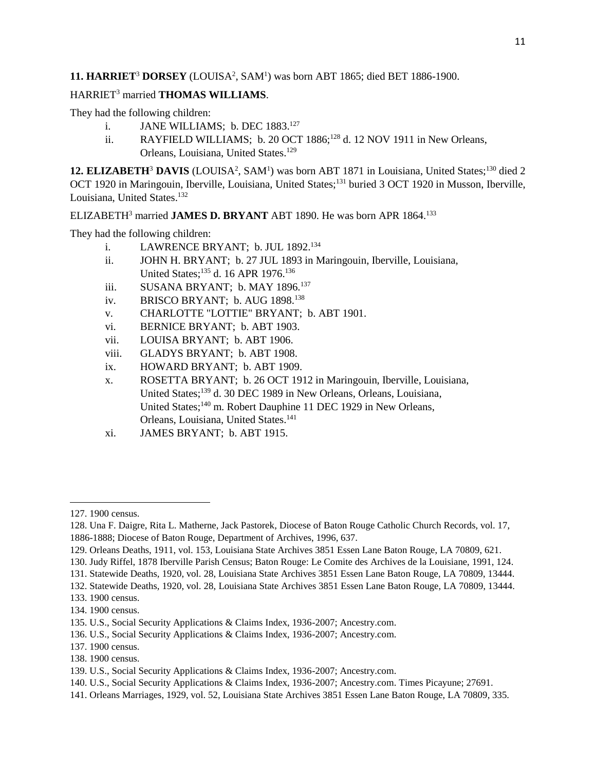### 11. HARRIET<sup>3</sup> DORSEY (LOUISA<sup>2</sup>, SAM<sup>1</sup>) was born ABT 1865; died BET 1886-1900.

## HARRIET<sup>3</sup> married **THOMAS WILLIAMS**.

They had the following children:

- i. **JANE WILLIAMS**; b. DEC 1883.<sup>127</sup>
- ii. RAYFIELD WILLIAMS; b. 20 OCT  $1886$ ;<sup>128</sup> d. 12 NOV 1911 in New Orleans, Orleans, Louisiana, United States.<sup>129</sup>

12. ELIZABETH<sup>3</sup> DAVIS (LOUISA<sup>2</sup>, SAM<sup>1</sup>) was born ABT 1871 in Louisiana, United States;<sup>130</sup> died 2 OCT 1920 in Maringouin, Iberville, Louisiana, United States;<sup>131</sup> buried 3 OCT 1920 in Musson, Iberville, Louisiana, United States.<sup>132</sup>

ELIZABETH<sup>3</sup> married **JAMES D. BRYANT** ABT 1890. He was born APR 1864.<sup>133</sup>

They had the following children:

- i. LAWRENCE BRYANT; b. JUL 1892.<sup>134</sup>
- ii. JOHN H. BRYANT; b. 27 JUL 1893 in Maringouin, Iberville, Louisiana, United States;<sup>135</sup> d. 16 APR 1976.<sup>136</sup>
- iii. SUSANA BRYANT; b. MAY 1896.<sup>137</sup>
- iv. BRISCO BRYANT; b. AUG 1898.<sup>138</sup>
- v. CHARLOTTE "LOTTIE" BRYANT; b. ABT 1901.
- vi. BERNICE BRYANT; b. ABT 1903.
- vii. LOUISA BRYANT; b. ABT 1906.
- viii. GLADYS BRYANT; b. ABT 1908.
- ix. HOWARD BRYANT; b. ABT 1909.
- x. ROSETTA BRYANT; b. 26 OCT 1912 in Maringouin, Iberville, Louisiana, United States;<sup>139</sup> d. 30 DEC 1989 in New Orleans, Orleans, Louisiana, United States;<sup>140</sup> m. Robert Dauphine 11 DEC 1929 in New Orleans, Orleans, Louisiana, United States.<sup>141</sup>
- xi. JAMES BRYANT; b. ABT 1915.

<sup>127. 1900</sup> census.

<sup>128.</sup> Una F. Daigre, Rita L. Matherne, Jack Pastorek, Diocese of Baton Rouge Catholic Church Records, vol. 17, 1886-1888; Diocese of Baton Rouge, Department of Archives, 1996, 637.

<sup>129.</sup> Orleans Deaths, 1911, vol. 153, Louisiana State Archives 3851 Essen Lane Baton Rouge, LA 70809, 621.

<sup>130.</sup> Judy Riffel, 1878 Iberville Parish Census; Baton Rouge: Le Comite des Archives de la Louisiane, 1991, 124.

<sup>131.</sup> Statewide Deaths, 1920, vol. 28, Louisiana State Archives 3851 Essen Lane Baton Rouge, LA 70809, 13444.

<sup>132.</sup> Statewide Deaths, 1920, vol. 28, Louisiana State Archives 3851 Essen Lane Baton Rouge, LA 70809, 13444.

<sup>133. 1900</sup> census.

<sup>134. 1900</sup> census.

<sup>135.</sup> U.S., Social Security Applications & Claims Index, 1936-2007; Ancestry.com.

<sup>136.</sup> U.S., Social Security Applications & Claims Index, 1936-2007; Ancestry.com.

<sup>137. 1900</sup> census.

<sup>138. 1900</sup> census.

<sup>139.</sup> U.S., Social Security Applications & Claims Index, 1936-2007; Ancestry.com.

<sup>140.</sup> U.S., Social Security Applications & Claims Index, 1936-2007; Ancestry.com. Times Picayune; 27691.

<sup>141.</sup> Orleans Marriages, 1929, vol. 52, Louisiana State Archives 3851 Essen Lane Baton Rouge, LA 70809, 335.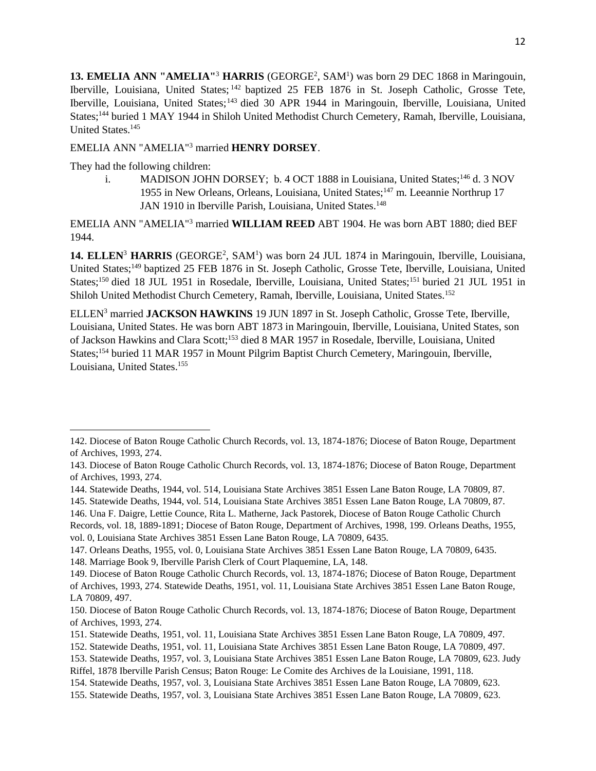13. EMELIA ANN "AMELIA"<sup>3</sup> HARRIS (GEORGE<sup>2</sup>, SAM<sup>1</sup>) was born 29 DEC 1868 in Maringouin, Iberville, Louisiana, United States; <sup>142</sup> baptized 25 FEB 1876 in St. Joseph Catholic, Grosse Tete, Iberville, Louisiana, United States;<sup>143</sup> died 30 APR 1944 in Maringouin, Iberville, Louisiana, United States;<sup>144</sup> buried 1 MAY 1944 in Shiloh United Methodist Church Cemetery, Ramah, Iberville, Louisiana, United States.<sup>145</sup>

EMELIA ANN "AMELIA"<sup>3</sup> married **HENRY DORSEY**.

They had the following children:

 $\overline{\phantom{a}}$ 

i. MADISON JOHN DORSEY; b. 4 OCT 1888 in Louisiana, United States;<sup>146</sup> d. 3 NOV 1955 in New Orleans, Orleans, Louisiana, United States;<sup>147</sup> m. Leeannie Northrup 17 JAN 1910 in Iberville Parish, Louisiana, United States.<sup>148</sup>

# EMELIA ANN "AMELIA"<sup>3</sup> married **WILLIAM REED** ABT 1904. He was born ABT 1880; died BEF 1944.

14. ELLEN<sup>3</sup> HARRIS (GEORGE<sup>2</sup>, SAM<sup>1</sup>) was born 24 JUL 1874 in Maringouin, Iberville, Louisiana, United States;<sup>149</sup> baptized 25 FEB 1876 in St. Joseph Catholic, Grosse Tete, Iberville, Louisiana, United States;<sup>150</sup> died 18 JUL 1951 in Rosedale, Iberville, Louisiana, United States;<sup>151</sup> buried 21 JUL 1951 in Shiloh United Methodist Church Cemetery, Ramah, Iberville, Louisiana, United States.<sup>152</sup>

ELLEN<sup>3</sup> married **JACKSON HAWKINS** 19 JUN 1897 in St. Joseph Catholic, Grosse Tete, Iberville, Louisiana, United States. He was born ABT 1873 in Maringouin, Iberville, Louisiana, United States, son of Jackson Hawkins and Clara Scott;<sup>153</sup> died 8 MAR 1957 in Rosedale, Iberville, Louisiana, United States;<sup>154</sup> buried 11 MAR 1957 in Mount Pilgrim Baptist Church Cemetery, Maringouin, Iberville, Louisiana, United States.<sup>155</sup>

148. Marriage Book 9, Iberville Parish Clerk of Court Plaquemine, LA, 148.

<sup>142.</sup> Diocese of Baton Rouge Catholic Church Records, vol. 13, 1874-1876; Diocese of Baton Rouge, Department of Archives, 1993, 274.

<sup>143.</sup> Diocese of Baton Rouge Catholic Church Records, vol. 13, 1874-1876; Diocese of Baton Rouge, Department of Archives, 1993, 274.

<sup>144.</sup> Statewide Deaths, 1944, vol. 514, Louisiana State Archives 3851 Essen Lane Baton Rouge, LA 70809, 87.

<sup>145.</sup> Statewide Deaths, 1944, vol. 514, Louisiana State Archives 3851 Essen Lane Baton Rouge, LA 70809, 87.

<sup>146.</sup> Una F. Daigre, Lettie Counce, Rita L. Matherne, Jack Pastorek, Diocese of Baton Rouge Catholic Church

Records, vol. 18, 1889-1891; Diocese of Baton Rouge, Department of Archives, 1998, 199. Orleans Deaths, 1955, vol. 0, Louisiana State Archives 3851 Essen Lane Baton Rouge, LA 70809, 6435.

<sup>147.</sup> Orleans Deaths, 1955, vol. 0, Louisiana State Archives 3851 Essen Lane Baton Rouge, LA 70809, 6435.

<sup>149.</sup> Diocese of Baton Rouge Catholic Church Records, vol. 13, 1874-1876; Diocese of Baton Rouge, Department of Archives, 1993, 274. Statewide Deaths, 1951, vol. 11, Louisiana State Archives 3851 Essen Lane Baton Rouge, LA 70809, 497.

<sup>150.</sup> Diocese of Baton Rouge Catholic Church Records, vol. 13, 1874-1876; Diocese of Baton Rouge, Department of Archives, 1993, 274.

<sup>151.</sup> Statewide Deaths, 1951, vol. 11, Louisiana State Archives 3851 Essen Lane Baton Rouge, LA 70809, 497.

<sup>152.</sup> Statewide Deaths, 1951, vol. 11, Louisiana State Archives 3851 Essen Lane Baton Rouge, LA 70809, 497.

<sup>153.</sup> Statewide Deaths, 1957, vol. 3, Louisiana State Archives 3851 Essen Lane Baton Rouge, LA 70809, 623. Judy Riffel, 1878 Iberville Parish Census; Baton Rouge: Le Comite des Archives de la Louisiane, 1991, 118.

<sup>154.</sup> Statewide Deaths, 1957, vol. 3, Louisiana State Archives 3851 Essen Lane Baton Rouge, LA 70809, 623.

<sup>155.</sup> Statewide Deaths, 1957, vol. 3, Louisiana State Archives 3851 Essen Lane Baton Rouge, LA 70809, 623.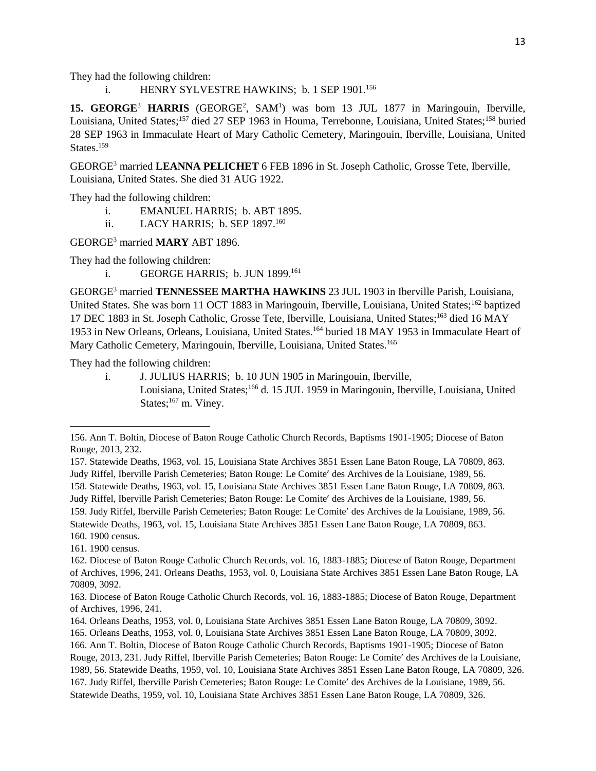They had the following children:

i. HENRY SYLVESTRE HAWKINS; b. 1 SEP 1901.<sup>156</sup>

15. GEORGE<sup>3</sup> HARRIS (GEORGE<sup>2</sup>, SAM<sup>1</sup>) was born 13 JUL 1877 in Maringouin, Iberville, Louisiana, United States;<sup>157</sup> died 27 SEP 1963 in Houma, Terrebonne, Louisiana, United States;<sup>158</sup> buried 28 SEP 1963 in Immaculate Heart of Mary Catholic Cemetery, Maringouin, Iberville, Louisiana, United States.<sup>159</sup>

GEORGE<sup>3</sup> married **LEANNA PELICHET** 6 FEB 1896 in St. Joseph Catholic, Grosse Tete, Iberville, Louisiana, United States. She died 31 AUG 1922.

They had the following children:

- i. EMANUEL HARRIS; b. ABT 1895.
- ii. LACY HARRIS; b. SEP 1897.<sup>160</sup>

GEORGE<sup>3</sup> married **MARY** ABT 1896.

They had the following children:

i. GEORGE HARRIS; b. JUN 1899.<sup>161</sup>

GEORGE<sup>3</sup> married **TENNESSEE MARTHA HAWKINS** 23 JUL 1903 in Iberville Parish, Louisiana, United States. She was born 11 OCT 1883 in Maringouin, Iberville, Louisiana, United States;<sup>162</sup> baptized 17 DEC 1883 in St. Joseph Catholic, Grosse Tete, Iberville, Louisiana, United States;<sup>163</sup> died 16 MAY 1953 in New Orleans, Orleans, Louisiana, United States.<sup>164</sup> buried 18 MAY 1953 in Immaculate Heart of Mary Catholic Cemetery, Maringouin, Iberville, Louisiana, United States.<sup>165</sup>

They had the following children:

i. J. JULIUS HARRIS; b. 10 JUN 1905 in Maringouin, Iberville, Louisiana, United States;<sup>166</sup> d. 15 JUL 1959 in Maringouin, Iberville, Louisiana, United States;<sup>167</sup> m. Viney.

Judy Riffel, Iberville Parish Cemeteries; Baton Rouge: Le Comite' des Archives de la Louisiane, 1989, 56.

159. Judy Riffel, Iberville Parish Cemeteries; Baton Rouge: Le Comite' des Archives de la Louisiane, 1989, 56. Statewide Deaths, 1963, vol. 15, Louisiana State Archives 3851 Essen Lane Baton Rouge, LA 70809, 863.

l

<sup>156.</sup> Ann T. Boltin, Diocese of Baton Rouge Catholic Church Records, Baptisms 1901-1905; Diocese of Baton Rouge, 2013, 232.

<sup>157.</sup> Statewide Deaths, 1963, vol. 15, Louisiana State Archives 3851 Essen Lane Baton Rouge, LA 70809, 863. Judy Riffel, Iberville Parish Cemeteries; Baton Rouge: Le Comite' des Archives de la Louisiane, 1989, 56.

<sup>158.</sup> Statewide Deaths, 1963, vol. 15, Louisiana State Archives 3851 Essen Lane Baton Rouge, LA 70809, 863.

<sup>160. 1900</sup> census.

<sup>161. 1900</sup> census.

<sup>162.</sup> Diocese of Baton Rouge Catholic Church Records, vol. 16, 1883-1885; Diocese of Baton Rouge, Department of Archives, 1996, 241. Orleans Deaths, 1953, vol. 0, Louisiana State Archives 3851 Essen Lane Baton Rouge, LA 70809, 3092.

<sup>163.</sup> Diocese of Baton Rouge Catholic Church Records, vol. 16, 1883-1885; Diocese of Baton Rouge, Department of Archives, 1996, 241.

<sup>164.</sup> Orleans Deaths, 1953, vol. 0, Louisiana State Archives 3851 Essen Lane Baton Rouge, LA 70809, 3092. 165. Orleans Deaths, 1953, vol. 0, Louisiana State Archives 3851 Essen Lane Baton Rouge, LA 70809, 3092. 166. Ann T. Boltin, Diocese of Baton Rouge Catholic Church Records, Baptisms 1901-1905; Diocese of Baton Rouge, 2013, 231. Judy Riffel, Iberville Parish Cemeteries; Baton Rouge: Le Comite' des Archives de la Louisiane, 1989, 56. Statewide Deaths, 1959, vol. 10, Louisiana State Archives 3851 Essen Lane Baton Rouge, LA 70809, 326. 167. Judy Riffel, Iberville Parish Cemeteries; Baton Rouge: Le Comite' des Archives de la Louisiane, 1989, 56. Statewide Deaths, 1959, vol. 10, Louisiana State Archives 3851 Essen Lane Baton Rouge, LA 70809, 326.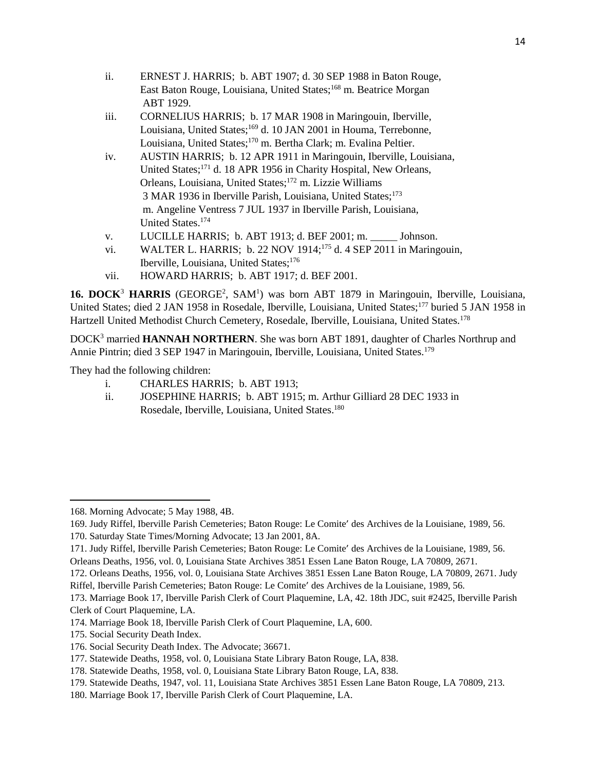- ii. ERNEST J. HARRIS; b. ABT 1907; d. 30 SEP 1988 in Baton Rouge, East Baton Rouge, Louisiana, United States;<sup>168</sup> m. Beatrice Morgan ABT 1929.
- iii. CORNELIUS HARRIS; b. 17 MAR 1908 in Maringouin, Iberville, Louisiana, United States;<sup>169</sup> d. 10 JAN 2001 in Houma, Terrebonne, Louisiana, United States;<sup>170</sup> m. Bertha Clark; m. Evalina Peltier.
- iv. AUSTIN HARRIS; b. 12 APR 1911 in Maringouin, Iberville, Louisiana, United States;<sup>171</sup> d. 18 APR 1956 in Charity Hospital, New Orleans, Orleans, Louisiana, United States;<sup>172</sup> m. Lizzie Williams 3 MAR 1936 in Iberville Parish, Louisiana, United States;<sup>173</sup> m. Angeline Ventress 7 JUL 1937 in Iberville Parish, Louisiana, United States.<sup>174</sup>
- v. LUCILLE HARRIS; b. ABT 1913; d. BEF 2001; m. \_\_\_\_\_ Johnson.
- vi. WALTER L. HARRIS; b. 22 NOV 1914;<sup>175</sup> d. 4 SEP 2011 in Maringouin, Iberville, Louisiana, United States;<sup>176</sup>
- vii. HOWARD HARRIS; b. ABT 1917; d. BEF 2001.

16. DOCK<sup>3</sup> HARRIS (GEORGE<sup>2</sup>, SAM<sup>1</sup>) was born ABT 1879 in Maringouin, Iberville, Louisiana, United States; died 2 JAN 1958 in Rosedale, Iberville, Louisiana, United States;<sup>177</sup> buried 5 JAN 1958 in Hartzell United Methodist Church Cemetery, Rosedale, Iberville, Louisiana, United States.<sup>178</sup>

DOCK<sup>3</sup> married **HANNAH NORTHERN**. She was born ABT 1891, daughter of Charles Northrup and Annie Pintrin; died 3 SEP 1947 in Maringouin, Iberville, Louisiana, United States.<sup>179</sup>

They had the following children:

- i. CHARLES HARRIS; b. ABT 1913;
- ii. JOSEPHINE HARRIS; b. ABT 1915; m. Arthur Gilliard 28 DEC 1933 in Rosedale, Iberville, Louisiana, United States.<sup>180</sup>

<sup>168.</sup> Morning Advocate; 5 May 1988, 4B.

<sup>169.</sup> Judy Riffel, Iberville Parish Cemeteries; Baton Rouge: Le Comite' des Archives de la Louisiane, 1989, 56.

<sup>170.</sup> Saturday State Times/Morning Advocate; 13 Jan 2001, 8A.

<sup>171.</sup> Judy Riffel, Iberville Parish Cemeteries; Baton Rouge: Le Comite' des Archives de la Louisiane, 1989, 56.

Orleans Deaths, 1956, vol. 0, Louisiana State Archives 3851 Essen Lane Baton Rouge, LA 70809, 2671.

<sup>172.</sup> Orleans Deaths, 1956, vol. 0, Louisiana State Archives 3851 Essen Lane Baton Rouge, LA 70809, 2671. Judy Riffel, Iberville Parish Cemeteries; Baton Rouge: Le Comite' des Archives de la Louisiane, 1989, 56.

<sup>173.</sup> Marriage Book 17, Iberville Parish Clerk of Court Plaquemine, LA, 42. 18th JDC, suit #2425, Iberville Parish Clerk of Court Plaquemine, LA.

<sup>174.</sup> Marriage Book 18, Iberville Parish Clerk of Court Plaquemine, LA, 600.

<sup>175.</sup> Social Security Death Index.

<sup>176.</sup> Social Security Death Index. The Advocate; 36671.

<sup>177.</sup> Statewide Deaths, 1958, vol. 0, Louisiana State Library Baton Rouge, LA, 838.

<sup>178.</sup> Statewide Deaths, 1958, vol. 0, Louisiana State Library Baton Rouge, LA, 838.

<sup>179.</sup> Statewide Deaths, 1947, vol. 11, Louisiana State Archives 3851 Essen Lane Baton Rouge, LA 70809, 213.

<sup>180.</sup> Marriage Book 17, Iberville Parish Clerk of Court Plaquemine, LA.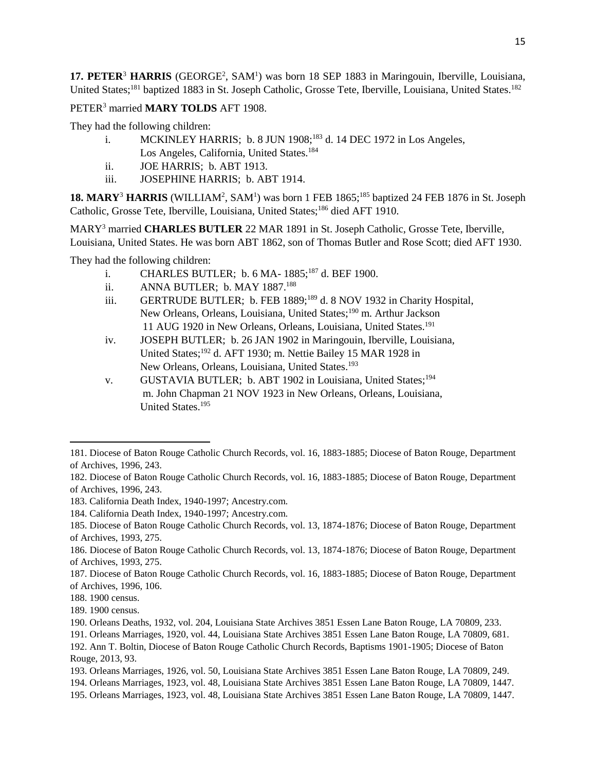17. PETER<sup>3</sup> HARRIS (GEORGE<sup>2</sup>, SAM<sup>1</sup>) was born 18 SEP 1883 in Maringouin, Iberville, Louisiana, United States;<sup>181</sup> baptized 1883 in St. Joseph Catholic, Grosse Tete, Iberville, Louisiana, United States.<sup>182</sup>

### PETER<sup>3</sup> married **MARY TOLDS** AFT 1908.

They had the following children:

- i. MCKINLEY HARRIS; b. 8 JUN  $1908$ ;<sup>183</sup> d. 14 DEC 1972 in Los Angeles, Los Angeles, California, United States.<sup>184</sup>
- ii. JOE HARRIS; b. ABT 1913.
- iii. JOSEPHINE HARRIS; b. ABT 1914.

18. MARY<sup>3</sup> HARRIS (WILLIAM<sup>2</sup>, SAM<sup>1</sup>) was born 1 FEB 1865;<sup>185</sup> baptized 24 FEB 1876 in St. Joseph Catholic, Grosse Tete, Iberville, Louisiana, United States;<sup>186</sup> died AFT 1910.

MARY<sup>3</sup> married **CHARLES BUTLER** 22 MAR 1891 in St. Joseph Catholic, Grosse Tete, Iberville, Louisiana, United States. He was born ABT 1862, son of Thomas Butler and Rose Scott; died AFT 1930.

They had the following children:

- i. CHARLES BUTLER; b. 6 MA- 1885;<sup>187</sup> d. BEF 1900.
- ii. ANNA BUTLER; b. MAY 1887.<sup>188</sup>
- iii. GERTRUDE BUTLER; b. FEB 1889;<sup>189</sup> d. 8 NOV 1932 in Charity Hospital, New Orleans, Orleans, Louisiana, United States;<sup>190</sup> m. Arthur Jackson 11 AUG 1920 in New Orleans, Orleans, Louisiana, United States.<sup>191</sup>
- iv. JOSEPH BUTLER; b. 26 JAN 1902 in Maringouin, Iberville, Louisiana, United States;<sup>192</sup> d. AFT 1930; m. Nettie Bailey 15 MAR 1928 in New Orleans, Orleans, Louisiana, United States.<sup>193</sup>
- v. GUSTAVIA BUTLER; b. ABT 1902 in Louisiana, United States;<sup>194</sup> m. John Chapman 21 NOV 1923 in New Orleans, Orleans, Louisiana, United States.<sup>195</sup>

<sup>181.</sup> Diocese of Baton Rouge Catholic Church Records, vol. 16, 1883-1885; Diocese of Baton Rouge, Department of Archives, 1996, 243.

<sup>182.</sup> Diocese of Baton Rouge Catholic Church Records, vol. 16, 1883-1885; Diocese of Baton Rouge, Department of Archives, 1996, 243.

<sup>183.</sup> California Death Index, 1940-1997; Ancestry.com.

<sup>184.</sup> California Death Index, 1940-1997; Ancestry.com.

<sup>185.</sup> Diocese of Baton Rouge Catholic Church Records, vol. 13, 1874-1876; Diocese of Baton Rouge, Department of Archives, 1993, 275.

<sup>186.</sup> Diocese of Baton Rouge Catholic Church Records, vol. 13, 1874-1876; Diocese of Baton Rouge, Department of Archives, 1993, 275.

<sup>187.</sup> Diocese of Baton Rouge Catholic Church Records, vol. 16, 1883-1885; Diocese of Baton Rouge, Department of Archives, 1996, 106.

<sup>188. 1900</sup> census.

<sup>189. 1900</sup> census.

<sup>190.</sup> Orleans Deaths, 1932, vol. 204, Louisiana State Archives 3851 Essen Lane Baton Rouge, LA 70809, 233.

<sup>191.</sup> Orleans Marriages, 1920, vol. 44, Louisiana State Archives 3851 Essen Lane Baton Rouge, LA 70809, 681.

<sup>192.</sup> Ann T. Boltin, Diocese of Baton Rouge Catholic Church Records, Baptisms 1901-1905; Diocese of Baton Rouge, 2013, 93.

<sup>193.</sup> Orleans Marriages, 1926, vol. 50, Louisiana State Archives 3851 Essen Lane Baton Rouge, LA 70809, 249.

<sup>194.</sup> Orleans Marriages, 1923, vol. 48, Louisiana State Archives 3851 Essen Lane Baton Rouge, LA 70809, 1447.

<sup>195.</sup> Orleans Marriages, 1923, vol. 48, Louisiana State Archives 3851 Essen Lane Baton Rouge, LA 70809, 1447.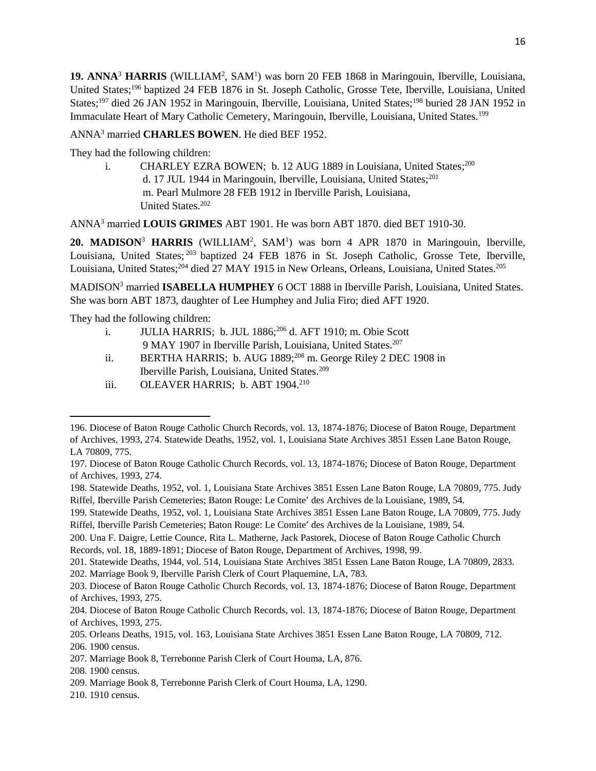19. ANNA<sup>3</sup> HARRIS (WILLIAM<sup>2</sup>, SAM<sup>1</sup>) was born 20 FEB 1868 in Maringouin, Iberville, Louisiana, United States;<sup>196</sup> baptized 24 FEB 1876 in St. Joseph Catholic, Grosse Tete, Iberville, Louisiana, United States:<sup>197</sup> died 26 JAN 1952 in Maringouin, Iberville, Louisiana, United States;<sup>198</sup> buried 28 JAN 1952 in Immaculate Heart of Mary Catholic Cemetery, Maringouin, Iberville, Louisiana, United States.<sup>199</sup>

# ANNA<sup>3</sup> married **CHARLES BOWEN**. He died BEF 1952.

They had the following children:

i. CHARLEY EZRA BOWEN; b. 12 AUG 1889 in Louisiana, United States;<sup>200</sup> d. 17 JUL 1944 in Maringouin, Iberville, Louisiana, United States;<sup>201</sup> m. Pearl Mulmore 28 FEB 1912 in Iberville Parish, Louisiana, United States.<sup>202</sup>

ANNA<sup>3</sup> married **LOUIS GRIMES** ABT 1901. He was born ABT 1870. died BET 1910-30.

20. MADISON<sup>3</sup> HARRIS (WILLIAM<sup>2</sup>, SAM<sup>1</sup>) was born 4 APR 1870 in Maringouin, Iberville, Louisiana, United States; <sup>203</sup> baptized 24 FEB 1876 in St. Joseph Catholic, Grosse Tete, Iberville, Louisiana, United States;<sup>204</sup> died 27 MAY 1915 in New Orleans, Orleans, Louisiana, United States.<sup>205</sup>

MADISON<sup>3</sup> married **ISABELLA HUMPHEY** 6 OCT 1888 in Iberville Parish, Louisiana, United States. She was born ABT 1873, daughter of Lee Humphey and Julia Firo; died AFT 1920.

They had the following children:

- i. JULIA HARRIS; b. JUL 1886;<sup>206</sup> d. AFT 1910; m. Obie Scott 9 MAY 1907 in Iberville Parish, Louisiana, United States.<sup>207</sup>
- ii. BERTHA HARRIS; b. AUG 1889;<sup>208</sup> m. George Riley 2 DEC 1908 in Iberville Parish, Louisiana, United States.<sup>209</sup>
- iii. OLEAVER HARRIS; b. ABT 1904.<sup>210</sup>

l

<sup>196.</sup> Diocese of Baton Rouge Catholic Church Records, vol. 13, 1874-1876; Diocese of Baton Rouge, Department of Archives, 1993, 274. Statewide Deaths, 1952, vol. 1, Louisiana State Archives 3851 Essen Lane Baton Rouge, LA 70809, 775.

<sup>197.</sup> Diocese of Baton Rouge Catholic Church Records, vol. 13, 1874-1876; Diocese of Baton Rouge, Department of Archives, 1993, 274.

<sup>198.</sup> Statewide Deaths, 1952, vol. 1, Louisiana State Archives 3851 Essen Lane Baton Rouge, LA 70809, 775. Judy Riffel, Iberville Parish Cemeteries; Baton Rouge: Le Comite' des Archives de la Louisiane, 1989, 54.

<sup>199.</sup> Statewide Deaths, 1952, vol. 1, Louisiana State Archives 3851 Essen Lane Baton Rouge, LA 70809, 775. Judy Riffel, Iberville Parish Cemeteries; Baton Rouge: Le Comite' des Archives de la Louisiane, 1989, 54.

<sup>200.</sup> Una F. Daigre, Lettie Counce, Rita L. Matherne, Jack Pastorek, Diocese of Baton Rouge Catholic Church Records, vol. 18, 1889-1891; Diocese of Baton Rouge, Department of Archives, 1998, 99.

<sup>201.</sup> Statewide Deaths, 1944, vol. 514, Louisiana State Archives 3851 Essen Lane Baton Rouge, LA 70809, 2833.

<sup>202.</sup> Marriage Book 9, Iberville Parish Clerk of Court Plaquemine, LA, 783.

<sup>203.</sup> Diocese of Baton Rouge Catholic Church Records, vol. 13, 1874-1876; Diocese of Baton Rouge, Department of Archives, 1993, 275.

<sup>204.</sup> Diocese of Baton Rouge Catholic Church Records, vol. 13, 1874-1876; Diocese of Baton Rouge, Department of Archives, 1993, 275.

<sup>205.</sup> Orleans Deaths, 1915, vol. 163, Louisiana State Archives 3851 Essen Lane Baton Rouge, LA 70809, 712.

<sup>206. 1900</sup> census.

<sup>207.</sup> Marriage Book 8, Terrebonne Parish Clerk of Court Houma, LA, 876.

<sup>208. 1900</sup> census.

<sup>209.</sup> Marriage Book 8, Terrebonne Parish Clerk of Court Houma, LA, 1290.

<sup>210. 1910</sup> census.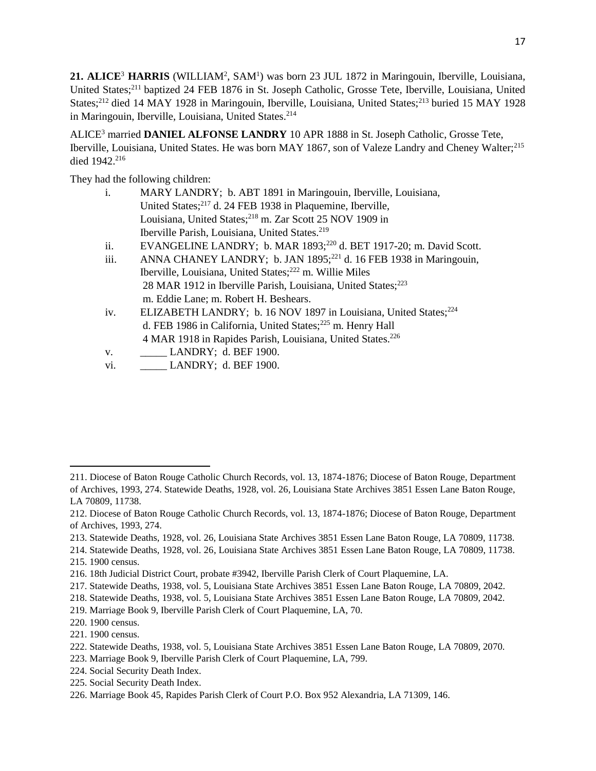21. ALICE<sup>3</sup> HARRIS (WILLIAM<sup>2</sup>, SAM<sup>1</sup>) was born 23 JUL 1872 in Maringouin, Iberville, Louisiana, United States;<sup>211</sup> baptized 24 FEB 1876 in St. Joseph Catholic, Grosse Tete, Iberville, Louisiana, United States;<sup>212</sup> died 14 MAY 1928 in Maringouin, Iberville, Louisiana, United States;<sup>213</sup> buried 15 MAY 1928 in Maringouin, Iberville, Louisiana, United States.<sup>214</sup>

ALICE<sup>3</sup> married **DANIEL ALFONSE LANDRY** 10 APR 1888 in St. Joseph Catholic, Grosse Tete, Iberville, Louisiana, United States. He was born MAY 1867, son of Valeze Landry and Cheney Walter;<sup>215</sup> died 1942.<sup>216</sup>

They had the following children:

| i. | MARY LANDRY; b. ABT 1891 in Maringouin, Iberville, Louisiana,          |
|----|------------------------------------------------------------------------|
|    | United States; <sup>217</sup> d. 24 FEB 1938 in Plaquemine, Iberville, |
|    | Louisiana, United States; <sup>218</sup> m. Zar Scott 25 NOV 1909 in   |
|    | Iberville Parish, Louisiana, United States. <sup>219</sup>             |
|    |                                                                        |

- ii. EVANGELINE LANDRY; b. MAR  $1893;^{220}$  d. BET 1917-20; m. David Scott.
- iii. ANNA CHANEY LANDRY; b. JAN 1895;<sup>221</sup> d. 16 FEB 1938 in Maringouin, Iberville, Louisiana, United States;<sup>222</sup> m. Willie Miles 28 MAR 1912 in Iberville Parish, Louisiana, United States;<sup>223</sup> m. Eddie Lane; m. Robert H. Beshears.
- iv. ELIZABETH LANDRY; b. 16 NOV 1897 in Louisiana, United States;<sup>224</sup> d. FEB 1986 in California, United States;<sup>225</sup> m. Henry Hall 4 MAR 1918 in Rapides Parish, Louisiana, United States.<sup>226</sup>
- v. **LANDRY**; d. BEF 1900.
- vi. **LANDRY**; d. BEF 1900.

- 213. Statewide Deaths, 1928, vol. 26, Louisiana State Archives 3851 Essen Lane Baton Rouge, LA 70809, 11738.
- 214. Statewide Deaths, 1928, vol. 26, Louisiana State Archives 3851 Essen Lane Baton Rouge, LA 70809, 11738.

- 220. 1900 census.
- 221. 1900 census.

- 223. Marriage Book 9, Iberville Parish Clerk of Court Plaquemine, LA, 799.
- 224. Social Security Death Index.
- 225. Social Security Death Index.

<sup>211.</sup> Diocese of Baton Rouge Catholic Church Records, vol. 13, 1874-1876; Diocese of Baton Rouge, Department of Archives, 1993, 274. Statewide Deaths, 1928, vol. 26, Louisiana State Archives 3851 Essen Lane Baton Rouge, LA 70809, 11738.

<sup>212.</sup> Diocese of Baton Rouge Catholic Church Records, vol. 13, 1874-1876; Diocese of Baton Rouge, Department of Archives, 1993, 274.

<sup>215. 1900</sup> census.

<sup>216. 18</sup>th Judicial District Court, probate #3942, Iberville Parish Clerk of Court Plaquemine, LA.

<sup>217.</sup> Statewide Deaths, 1938, vol. 5, Louisiana State Archives 3851 Essen Lane Baton Rouge, LA 70809, 2042.

<sup>218.</sup> Statewide Deaths, 1938, vol. 5, Louisiana State Archives 3851 Essen Lane Baton Rouge, LA 70809, 2042.

<sup>219.</sup> Marriage Book 9, Iberville Parish Clerk of Court Plaquemine, LA, 70.

<sup>222.</sup> Statewide Deaths, 1938, vol. 5, Louisiana State Archives 3851 Essen Lane Baton Rouge, LA 70809, 2070.

<sup>226.</sup> Marriage Book 45, Rapides Parish Clerk of Court P.O. Box 952 Alexandria, LA 71309, 146.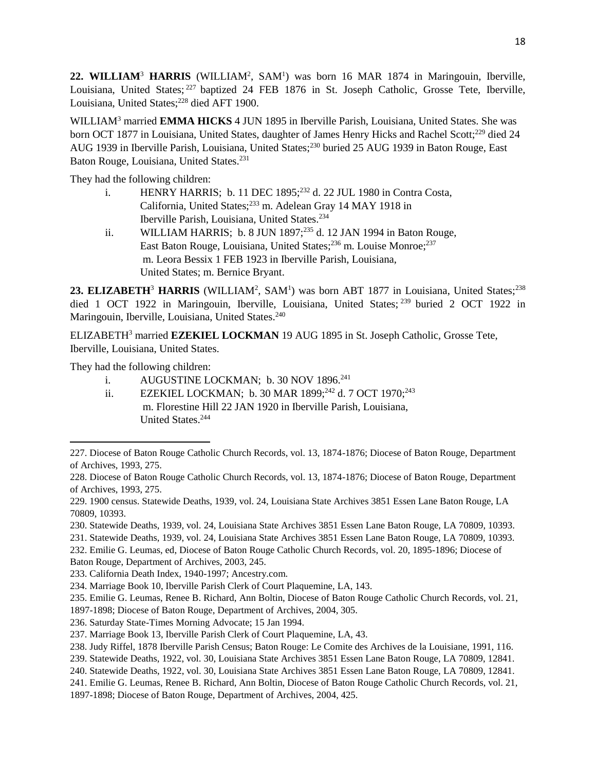22. WILLIAM<sup>3</sup> HARRIS (WILLIAM<sup>2</sup>, SAM<sup>1</sup>) was born 16 MAR 1874 in Maringouin, Iberville, Louisiana, United States; <sup>227</sup> baptized 24 FEB 1876 in St. Joseph Catholic, Grosse Tete, Iberville, Louisiana, United States;<sup>228</sup> died AFT 1900.

WILLIAM<sup>3</sup> married **EMMA HICKS** 4 JUN 1895 in Iberville Parish, Louisiana, United States. She was born OCT 1877 in Louisiana, United States, daughter of James Henry Hicks and Rachel Scott;<sup>229</sup> died 24 AUG 1939 in Iberville Parish, Louisiana, United States;<sup>230</sup> buried 25 AUG 1939 in Baton Rouge, East Baton Rouge, Louisiana, United States.<sup>231</sup>

They had the following children:

- i. HENRY HARRIS; b. 11 DEC 1895;<sup>232</sup> d. 22 JUL 1980 in Contra Costa, California, United States;<sup>233</sup> m. Adelean Gray 14 MAY 1918 in Iberville Parish, Louisiana, United States.<sup>234</sup>
- ii. WILLIAM HARRIS; b. 8 JUN 1897; $^{235}$  d. 12 JAN 1994 in Baton Rouge, East Baton Rouge, Louisiana, United States;<sup>236</sup> m. Louise Monroe;<sup>237</sup> m. Leora Bessix 1 FEB 1923 in Iberville Parish, Louisiana, United States; m. Bernice Bryant.

23. ELIZABETH<sup>3</sup> HARRIS (WILLIAM<sup>2</sup>, SAM<sup>1</sup>) was born ABT 1877 in Louisiana, United States;<sup>238</sup> died 1 OCT 1922 in Maringouin, Iberville, Louisiana, United States; <sup>239</sup> buried 2 OCT 1922 in Maringouin, Iberville, Louisiana, United States.<sup>240</sup>

ELIZABETH<sup>3</sup> married **EZEKIEL LOCKMAN** 19 AUG 1895 in St. Joseph Catholic, Grosse Tete, Iberville, Louisiana, United States.

They had the following children:

- i. AUGUSTINE LOCKMAN; b. 30 NOV 1896.<sup>241</sup>
- ii. EZEKIEL LOCKMAN; b. 30 MAR 1899;<sup>242</sup> d. 7 OCT 1970;<sup>243</sup> m. Florestine Hill 22 JAN 1920 in Iberville Parish, Louisiana, United States.<sup>244</sup>

<sup>227.</sup> Diocese of Baton Rouge Catholic Church Records, vol. 13, 1874-1876; Diocese of Baton Rouge, Department of Archives, 1993, 275.

<sup>228.</sup> Diocese of Baton Rouge Catholic Church Records, vol. 13, 1874-1876; Diocese of Baton Rouge, Department of Archives, 1993, 275.

<sup>229. 1900</sup> census. Statewide Deaths, 1939, vol. 24, Louisiana State Archives 3851 Essen Lane Baton Rouge, LA 70809, 10393.

<sup>230.</sup> Statewide Deaths, 1939, vol. 24, Louisiana State Archives 3851 Essen Lane Baton Rouge, LA 70809, 10393.

<sup>231.</sup> Statewide Deaths, 1939, vol. 24, Louisiana State Archives 3851 Essen Lane Baton Rouge, LA 70809, 10393.

<sup>232.</sup> Emilie G. Leumas, ed, Diocese of Baton Rouge Catholic Church Records, vol. 20, 1895-1896; Diocese of Baton Rouge, Department of Archives, 2003, 245.

<sup>233.</sup> California Death Index, 1940-1997; Ancestry.com.

<sup>234.</sup> Marriage Book 10, Iberville Parish Clerk of Court Plaquemine, LA, 143.

<sup>235.</sup> Emilie G. Leumas, Renee B. Richard, Ann Boltin, Diocese of Baton Rouge Catholic Church Records, vol. 21,

<sup>1897-1898;</sup> Diocese of Baton Rouge, Department of Archives, 2004, 305.

<sup>236.</sup> Saturday State-Times Morning Advocate; 15 Jan 1994.

<sup>237.</sup> Marriage Book 13, Iberville Parish Clerk of Court Plaquemine, LA, 43.

<sup>238.</sup> Judy Riffel, 1878 Iberville Parish Census; Baton Rouge: Le Comite des Archives de la Louisiane, 1991, 116.

<sup>239.</sup> Statewide Deaths, 1922, vol. 30, Louisiana State Archives 3851 Essen Lane Baton Rouge, LA 70809, 12841.

<sup>240.</sup> Statewide Deaths, 1922, vol. 30, Louisiana State Archives 3851 Essen Lane Baton Rouge, LA 70809, 12841.

<sup>241.</sup> Emilie G. Leumas, Renee B. Richard, Ann Boltin, Diocese of Baton Rouge Catholic Church Records, vol. 21,

<sup>1897-1898;</sup> Diocese of Baton Rouge, Department of Archives, 2004, 425.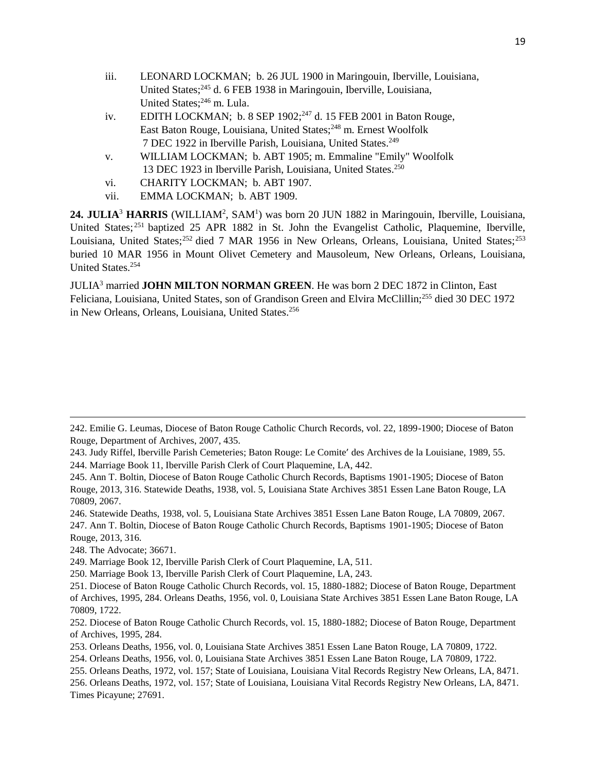- iii. LEONARD LOCKMAN; b. 26 JUL 1900 in Maringouin, Iberville, Louisiana, United States;<sup>245</sup> d. 6 FEB 1938 in Maringouin, Iberville, Louisiana, United States;<sup>246</sup> m. Lula.
- iv. EDITH LOCKMAN; b. 8 SEP  $1902$ <sup>247</sup> d. 15 FEB 2001 in Baton Rouge, East Baton Rouge, Louisiana, United States;<sup>248</sup> m. Ernest Woolfolk 7 DEC 1922 in Iberville Parish, Louisiana, United States.<sup>249</sup>
- v. WILLIAM LOCKMAN; b. ABT 1905; m. Emmaline "Emily" Woolfolk 13 DEC 1923 in Iberville Parish, Louisiana, United States.<sup>250</sup>
- vi. CHARITY LOCKMAN; b. ABT 1907.
- vii. EMMA LOCKMAN; b. ABT 1909.

24. JULIA<sup>3</sup> HARRIS (WILLIAM<sup>2</sup>, SAM<sup>1</sup>) was born 20 JUN 1882 in Maringouin, Iberville, Louisiana, United States;<sup>251</sup> baptized 25 APR 1882 in St. John the Evangelist Catholic, Plaquemine, Iberville, Louisiana, United States;<sup>252</sup> died 7 MAR 1956 in New Orleans, Orleans, Louisiana, United States;<sup>253</sup> buried 10 MAR 1956 in Mount Olivet Cemetery and Mausoleum, New Orleans, Orleans, Louisiana, United States.<sup>254</sup>

JULIA<sup>3</sup> married **JOHN MILTON NORMAN GREEN**. He was born 2 DEC 1872 in Clinton, East Feliciana, Louisiana, United States, son of Grandison Green and Elvira McClillin;<sup>255</sup> died 30 DEC 1972 in New Orleans, Orleans, Louisiana, United States.<sup>256</sup>

- 245. Ann T. Boltin, Diocese of Baton Rouge Catholic Church Records, Baptisms 1901-1905; Diocese of Baton Rouge, 2013, 316. Statewide Deaths, 1938, vol. 5, Louisiana State Archives 3851 Essen Lane Baton Rouge, LA 70809, 2067.
- 246. Statewide Deaths, 1938, vol. 5, Louisiana State Archives 3851 Essen Lane Baton Rouge, LA 70809, 2067. 247. Ann T. Boltin, Diocese of Baton Rouge Catholic Church Records, Baptisms 1901-1905; Diocese of Baton Rouge, 2013, 316.
- 248. The Advocate; 36671.

l

- 249. Marriage Book 12, Iberville Parish Clerk of Court Plaquemine, LA, 511.
- 250. Marriage Book 13, Iberville Parish Clerk of Court Plaquemine, LA, 243.

256. Orleans Deaths, 1972, vol. 157; State of Louisiana, Louisiana Vital Records Registry New Orleans, LA, 8471. Times Picayune; 27691.

<sup>242.</sup> Emilie G. Leumas, Diocese of Baton Rouge Catholic Church Records, vol. 22, 1899-1900; Diocese of Baton Rouge, Department of Archives, 2007, 435.

<sup>243.</sup> Judy Riffel, Iberville Parish Cemeteries; Baton Rouge: Le Comite' des Archives de la Louisiane, 1989, 55. 244. Marriage Book 11, Iberville Parish Clerk of Court Plaquemine, LA, 442.

<sup>251.</sup> Diocese of Baton Rouge Catholic Church Records, vol. 15, 1880-1882; Diocese of Baton Rouge, Department of Archives, 1995, 284. Orleans Deaths, 1956, vol. 0, Louisiana State Archives 3851 Essen Lane Baton Rouge, LA 70809, 1722.

<sup>252.</sup> Diocese of Baton Rouge Catholic Church Records, vol. 15, 1880-1882; Diocese of Baton Rouge, Department of Archives, 1995, 284.

<sup>253.</sup> Orleans Deaths, 1956, vol. 0, Louisiana State Archives 3851 Essen Lane Baton Rouge, LA 70809, 1722.

<sup>254.</sup> Orleans Deaths, 1956, vol. 0, Louisiana State Archives 3851 Essen Lane Baton Rouge, LA 70809, 1722.

<sup>255.</sup> Orleans Deaths, 1972, vol. 157; State of Louisiana, Louisiana Vital Records Registry New Orleans, LA, 8471.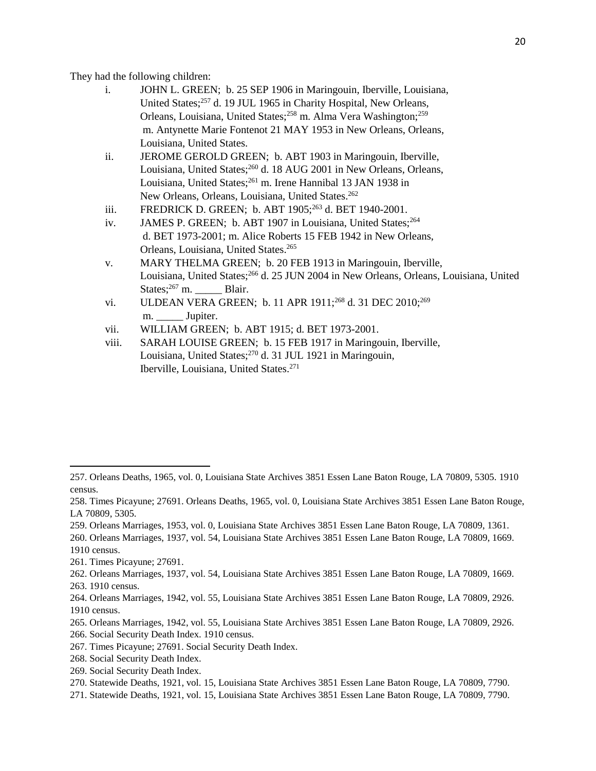They had the following children:

- i. JOHN L. GREEN; b. 25 SEP 1906 in Maringouin, Iberville, Louisiana, United States;<sup>257</sup> d. 19 JUL 1965 in Charity Hospital, New Orleans, Orleans, Louisiana, United States;<sup>258</sup> m. Alma Vera Washington;<sup>259</sup> m. Antynette Marie Fontenot 21 MAY 1953 in New Orleans, Orleans, Louisiana, United States.
- ii. JEROME GEROLD GREEN; b. ABT 1903 in Maringouin, Iberville, Louisiana, United States;<sup>260</sup> d. 18 AUG 2001 in New Orleans, Orleans, Louisiana, United States;<sup>261</sup> m. Irene Hannibal 13 JAN 1938 in New Orleans, Orleans, Louisiana, United States.<sup>262</sup>
- iii. FREDRICK D. GREEN; b. ABT 1905;<sup>263</sup> d. BET 1940-2001.
- iv. JAMES P. GREEN; b. ABT 1907 in Louisiana, United States;<sup>264</sup> d. BET 1973-2001; m. Alice Roberts 15 FEB 1942 in New Orleans, Orleans, Louisiana, United States.<sup>265</sup>
- v. MARY THELMA GREEN; b. 20 FEB 1913 in Maringouin, Iberville, Louisiana, United States;<sup>266</sup> d. 25 JUN 2004 in New Orleans, Orleans, Louisiana, United States;<sup>267</sup> m. Blair.
- vi. ULDEAN VERA GREEN; b. 11 APR 1911;<sup>268</sup> d. 31 DEC 2010;<sup>269</sup> m. \_\_\_\_\_\_\_\_ Jupiter.
- vii. WILLIAM GREEN; b. ABT 1915; d. BET 1973-2001.
- viii. SARAH LOUISE GREEN; b. 15 FEB 1917 in Maringouin, Iberville, Louisiana, United States;<sup>270</sup> d. 31 JUL 1921 in Maringouin, Iberville, Louisiana, United States.<sup>271</sup>

259. Orleans Marriages, 1953, vol. 0, Louisiana State Archives 3851 Essen Lane Baton Rouge, LA 70809, 1361.

 $\overline{\phantom{a}}$ 

261. Times Picayune; 27691.

- 265. Orleans Marriages, 1942, vol. 55, Louisiana State Archives 3851 Essen Lane Baton Rouge, LA 70809, 2926.
- 266. Social Security Death Index. 1910 census.
- 267. Times Picayune; 27691. Social Security Death Index.
- 268. Social Security Death Index.
- 269. Social Security Death Index.
- 270. Statewide Deaths, 1921, vol. 15, Louisiana State Archives 3851 Essen Lane Baton Rouge, LA 70809, 7790.
- 271. Statewide Deaths, 1921, vol. 15, Louisiana State Archives 3851 Essen Lane Baton Rouge, LA 70809, 7790.

<sup>257.</sup> Orleans Deaths, 1965, vol. 0, Louisiana State Archives 3851 Essen Lane Baton Rouge, LA 70809, 5305. 1910 census.

<sup>258.</sup> Times Picayune; 27691. Orleans Deaths, 1965, vol. 0, Louisiana State Archives 3851 Essen Lane Baton Rouge, LA 70809, 5305.

<sup>260.</sup> Orleans Marriages, 1937, vol. 54, Louisiana State Archives 3851 Essen Lane Baton Rouge, LA 70809, 1669.

<sup>1910</sup> census.

<sup>262.</sup> Orleans Marriages, 1937, vol. 54, Louisiana State Archives 3851 Essen Lane Baton Rouge, LA 70809, 1669. 263. 1910 census.

<sup>264.</sup> Orleans Marriages, 1942, vol. 55, Louisiana State Archives 3851 Essen Lane Baton Rouge, LA 70809, 2926. 1910 census.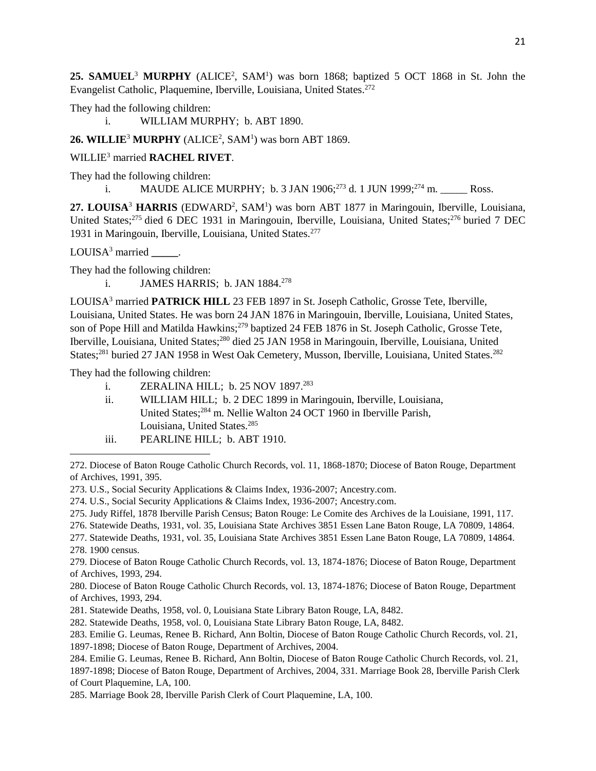25. SAMUEL<sup>3</sup> MURPHY (ALICE<sup>2</sup>, SAM<sup>1</sup>) was born 1868; baptized 5 OCT 1868 in St. John the Evangelist Catholic, Plaquemine, Iberville, Louisiana, United States.<sup>272</sup>

They had the following children:

i. WILLIAM MURPHY; b. ABT 1890.

#### 26. WILLIE<sup>3</sup> MURPHY (ALICE<sup>2</sup>, SAM<sup>1</sup>) was born ABT 1869.

#### WILLIE<sup>3</sup> married **RACHEL RIVET**.

They had the following children:

i. MAUDE ALICE MURPHY; b. 3 JAN 1906; $^{273}$  d. 1 JUN 1999; $^{274}$  m. Ross.

27. LOUISA<sup>3</sup> HARRIS (EDWARD<sup>2</sup>, SAM<sup>1</sup>) was born ABT 1877 in Maringouin, Iberville, Louisiana, United States;<sup>275</sup> died 6 DEC 1931 in Maringouin, Iberville, Louisiana, United States;<sup>276</sup> buried 7 DEC 1931 in Maringouin, Iberville, Louisiana, United States.<sup>277</sup>

LOUISA<sup>3</sup> married **\_\_\_\_\_**.

They had the following children:

i. **JAMES HARRIS**; b. JAN 1884.<sup>278</sup>

LOUISA<sup>3</sup> married **PATRICK HILL** 23 FEB 1897 in St. Joseph Catholic, Grosse Tete, Iberville, Louisiana, United States. He was born 24 JAN 1876 in Maringouin, Iberville, Louisiana, United States, son of Pope Hill and Matilda Hawkins;<sup>279</sup> baptized 24 FEB 1876 in St. Joseph Catholic, Grosse Tete, Iberville, Louisiana, United States;<sup>280</sup> died 25 JAN 1958 in Maringouin, Iberville, Louisiana, United States;<sup>281</sup> buried 27 JAN 1958 in West Oak Cemetery, Musson, Iberville, Louisiana, United States.<sup>282</sup>

They had the following children:

- i. **ZERALINA HILL**; b. 25 NOV 1897.<sup>283</sup>
- ii. WILLIAM HILL; b. 2 DEC 1899 in Maringouin, Iberville, Louisiana, United States;<sup>284</sup> m. Nellie Walton 24 OCT 1960 in Iberville Parish, Louisiana, United States.<sup>285</sup>
- iii. PEARLINE HILL; b. ABT 1910.

- 275. Judy Riffel, 1878 Iberville Parish Census; Baton Rouge: Le Comite des Archives de la Louisiane, 1991, 117.
- 276. Statewide Deaths, 1931, vol. 35, Louisiana State Archives 3851 Essen Lane Baton Rouge, LA 70809, 14864.
- 277. Statewide Deaths, 1931, vol. 35, Louisiana State Archives 3851 Essen Lane Baton Rouge, LA 70809, 14864. 278. 1900 census.

- 281. Statewide Deaths, 1958, vol. 0, Louisiana State Library Baton Rouge, LA, 8482.
- 282. Statewide Deaths, 1958, vol. 0, Louisiana State Library Baton Rouge, LA, 8482.

<sup>272.</sup> Diocese of Baton Rouge Catholic Church Records, vol. 11, 1868-1870; Diocese of Baton Rouge, Department of Archives, 1991, 395.

<sup>273.</sup> U.S., Social Security Applications & Claims Index, 1936-2007; Ancestry.com.

<sup>274.</sup> U.S., Social Security Applications & Claims Index, 1936-2007; Ancestry.com.

<sup>279.</sup> Diocese of Baton Rouge Catholic Church Records, vol. 13, 1874-1876; Diocese of Baton Rouge, Department of Archives, 1993, 294.

<sup>280.</sup> Diocese of Baton Rouge Catholic Church Records, vol. 13, 1874-1876; Diocese of Baton Rouge, Department of Archives, 1993, 294.

<sup>283.</sup> Emilie G. Leumas, Renee B. Richard, Ann Boltin, Diocese of Baton Rouge Catholic Church Records, vol. 21, 1897-1898; Diocese of Baton Rouge, Department of Archives, 2004.

<sup>284.</sup> Emilie G. Leumas, Renee B. Richard, Ann Boltin, Diocese of Baton Rouge Catholic Church Records, vol. 21, 1897-1898; Diocese of Baton Rouge, Department of Archives, 2004, 331. Marriage Book 28, Iberville Parish Clerk of Court Plaquemine, LA, 100.

<sup>285.</sup> Marriage Book 28, Iberville Parish Clerk of Court Plaquemine, LA, 100.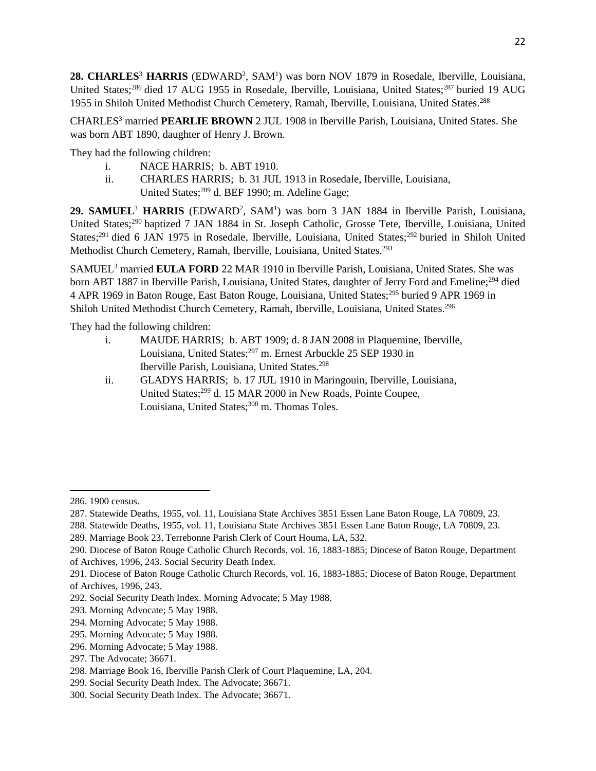28. CHARLES<sup>3</sup> HARRIS (EDWARD<sup>2</sup>, SAM<sup>1</sup>) was born NOV 1879 in Rosedale, Iberville, Louisiana, United States;<sup>286</sup> died 17 AUG 1955 in Rosedale, Iberville, Louisiana, United States;<sup>287</sup> buried 19 AUG 1955 in Shiloh United Methodist Church Cemetery, Ramah, Iberville, Louisiana, United States.<sup>288</sup>

CHARLES<sup>3</sup> married **PEARLIE BROWN** 2 JUL 1908 in Iberville Parish, Louisiana, United States. She was born ABT 1890, daughter of Henry J. Brown.

They had the following children:

- i. NACE HARRIS; b. ABT 1910.
- ii. CHARLES HARRIS; b. 31 JUL 1913 in Rosedale, Iberville, Louisiana, United States;<sup>289</sup> d. BEF 1990; m. Adeline Gage;

29. SAMUEL<sup>3</sup> HARRIS (EDWARD<sup>2</sup>, SAM<sup>1</sup>) was born 3 JAN 1884 in Iberville Parish, Louisiana, United States;<sup>290</sup> baptized 7 JAN 1884 in St. Joseph Catholic, Grosse Tete, Iberville, Louisiana, United States;<sup>291</sup> died 6 JAN 1975 in Rosedale, Iberville, Louisiana, United States;<sup>292</sup> buried in Shiloh United Methodist Church Cemetery, Ramah, Iberville, Louisiana, United States.<sup>293</sup>

SAMUEL<sup>3</sup> married **EULA FORD** 22 MAR 1910 in Iberville Parish, Louisiana, United States. She was born ABT 1887 in Iberville Parish, Louisiana, United States, daughter of Jerry Ford and Emeline;<sup>294</sup> died 4 APR 1969 in Baton Rouge, East Baton Rouge, Louisiana, United States;<sup>295</sup> buried 9 APR 1969 in Shiloh United Methodist Church Cemetery, Ramah, Iberville, Louisiana, United States.<sup>296</sup>

They had the following children:

- i. MAUDE HARRIS; b. ABT 1909; d. 8 JAN 2008 in Plaquemine, Iberville, Louisiana, United States;<sup>297</sup> m. Ernest Arbuckle 25 SEP 1930 in Iberville Parish, Louisiana, United States.<sup>298</sup>
- ii. GLADYS HARRIS; b. 17 JUL 1910 in Maringouin, Iberville, Louisiana, United States;<sup>299</sup> d. 15 MAR 2000 in New Roads, Pointe Coupee, Louisiana, United States;<sup>300</sup> m. Thomas Toles.

<sup>286. 1900</sup> census.

<sup>287.</sup> Statewide Deaths, 1955, vol. 11, Louisiana State Archives 3851 Essen Lane Baton Rouge, LA 70809, 23.

<sup>288.</sup> Statewide Deaths, 1955, vol. 11, Louisiana State Archives 3851 Essen Lane Baton Rouge, LA 70809, 23.

<sup>289.</sup> Marriage Book 23, Terrebonne Parish Clerk of Court Houma, LA, 532.

<sup>290.</sup> Diocese of Baton Rouge Catholic Church Records, vol. 16, 1883-1885; Diocese of Baton Rouge, Department of Archives, 1996, 243. Social Security Death Index.

<sup>291.</sup> Diocese of Baton Rouge Catholic Church Records, vol. 16, 1883-1885; Diocese of Baton Rouge, Department of Archives, 1996, 243.

<sup>292.</sup> Social Security Death Index. Morning Advocate; 5 May 1988.

<sup>293.</sup> Morning Advocate; 5 May 1988.

<sup>294.</sup> Morning Advocate; 5 May 1988.

<sup>295.</sup> Morning Advocate; 5 May 1988.

<sup>296.</sup> Morning Advocate; 5 May 1988.

<sup>297.</sup> The Advocate; 36671.

<sup>298.</sup> Marriage Book 16, Iberville Parish Clerk of Court Plaquemine, LA, 204.

<sup>299.</sup> Social Security Death Index. The Advocate; 36671.

<sup>300.</sup> Social Security Death Index. The Advocate; 36671.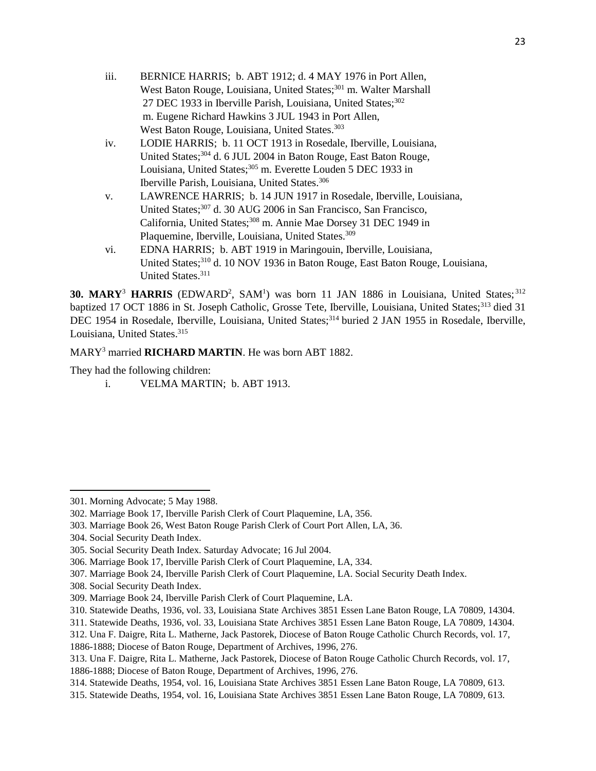- iii. BERNICE HARRIS; b. ABT 1912; d. 4 MAY 1976 in Port Allen, West Baton Rouge, Louisiana, United States;<sup>301</sup> m. Walter Marshall 27 DEC 1933 in Iberville Parish, Louisiana, United States;<sup>302</sup> m. Eugene Richard Hawkins 3 JUL 1943 in Port Allen, West Baton Rouge, Louisiana, United States.<sup>303</sup>
- iv. LODIE HARRIS; b. 11 OCT 1913 in Rosedale, Iberville, Louisiana, United States;<sup>304</sup> d. 6 JUL 2004 in Baton Rouge, East Baton Rouge, Louisiana, United States;<sup>305</sup> m. Everette Louden 5 DEC 1933 in Iberville Parish, Louisiana, United States.<sup>306</sup>
- v. LAWRENCE HARRIS; b. 14 JUN 1917 in Rosedale, Iberville, Louisiana, United States;<sup>307</sup> d. 30 AUG 2006 in San Francisco, San Francisco, California, United States;<sup>308</sup> m. Annie Mae Dorsey 31 DEC 1949 in Plaquemine, Iberville, Louisiana, United States.<sup>309</sup>
- vi. EDNA HARRIS; b. ABT 1919 in Maringouin, Iberville, Louisiana, United States;<sup>310</sup> d. 10 NOV 1936 in Baton Rouge, East Baton Rouge, Louisiana, United States.<sup>311</sup>

30. MARY<sup>3</sup> HARRIS (EDWARD<sup>2</sup>, SAM<sup>1</sup>) was born 11 JAN 1886 in Louisiana, United States;<sup>312</sup> baptized 17 OCT 1886 in St. Joseph Catholic, Grosse Tete, Iberville, Louisiana, United States;<sup>313</sup> died 31 DEC 1954 in Rosedale, Iberville, Louisiana, United States;<sup>314</sup> buried 2 JAN 1955 in Rosedale, Iberville, Louisiana, United States.<sup>315</sup>

#### MARY<sup>3</sup> married **RICHARD MARTIN**. He was born ABT 1882.

They had the following children:

i. VELMA MARTIN; b. ABT 1913.

 $\overline{\phantom{a}}$ 301. Morning Advocate; 5 May 1988.

<sup>302.</sup> Marriage Book 17, Iberville Parish Clerk of Court Plaquemine, LA, 356.

<sup>303.</sup> Marriage Book 26, West Baton Rouge Parish Clerk of Court Port Allen, LA, 36.

<sup>304.</sup> Social Security Death Index.

<sup>305.</sup> Social Security Death Index. Saturday Advocate; 16 Jul 2004.

<sup>306.</sup> Marriage Book 17, Iberville Parish Clerk of Court Plaquemine, LA, 334.

<sup>307.</sup> Marriage Book 24, Iberville Parish Clerk of Court Plaquemine, LA. Social Security Death Index.

<sup>308.</sup> Social Security Death Index.

<sup>309.</sup> Marriage Book 24, Iberville Parish Clerk of Court Plaquemine, LA.

<sup>310.</sup> Statewide Deaths, 1936, vol. 33, Louisiana State Archives 3851 Essen Lane Baton Rouge, LA 70809, 14304.

<sup>311.</sup> Statewide Deaths, 1936, vol. 33, Louisiana State Archives 3851 Essen Lane Baton Rouge, LA 70809, 14304.

<sup>312.</sup> Una F. Daigre, Rita L. Matherne, Jack Pastorek, Diocese of Baton Rouge Catholic Church Records, vol. 17, 1886-1888; Diocese of Baton Rouge, Department of Archives, 1996, 276.

<sup>313.</sup> Una F. Daigre, Rita L. Matherne, Jack Pastorek, Diocese of Baton Rouge Catholic Church Records, vol. 17, 1886-1888; Diocese of Baton Rouge, Department of Archives, 1996, 276.

<sup>314.</sup> Statewide Deaths, 1954, vol. 16, Louisiana State Archives 3851 Essen Lane Baton Rouge, LA 70809, 613.

<sup>315.</sup> Statewide Deaths, 1954, vol. 16, Louisiana State Archives 3851 Essen Lane Baton Rouge, LA 70809, 613.